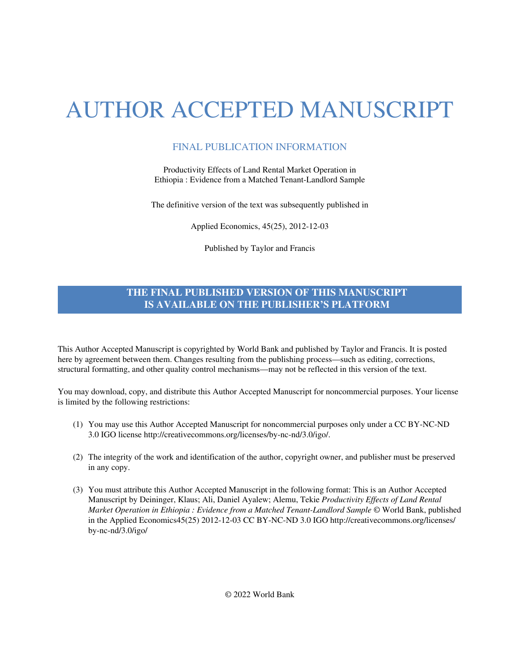# AUTHOR ACCEPTED MANUSCRIPT

## FINAL PUBLICATION INFORMATION

Productivity Effects of Land Rental Market Operation in Ethiopia : Evidence from a Matched Tenant-Landlord Sample

The definitive version of the text was subsequently published in

Applied Economics, 45(25), 2012-12-03

Published by Taylor and Francis

### **THE FINAL PUBLISHED VERSION OF THIS MANUSCRIPT IS AVAILABLE ON THE PUBLISHER'S PLATFORM**

This Author Accepted Manuscript is copyrighted by World Bank and published by Taylor and Francis. It is posted here by agreement between them. Changes resulting from the publishing process—such as editing, corrections, structural formatting, and other quality control mechanisms—may not be reflected in this version of the text.

You may download, copy, and distribute this Author Accepted Manuscript for noncommercial purposes. Your license is limited by the following restrictions:

- (1) You may use this Author Accepted Manuscript for noncommercial purposes only under a CC BY-NC-ND 3.0 IGO licens[e http://creativecommons.org/licenses/by-nc-nd/3.0/igo/.](http://creativecommons.org/licenses/by-nc-nd/3.0/igo/)
- (2) The integrity of the work and identification of the author, copyright owner, and publisher must be preserved in any copy.
- (3) You must attribute this Author Accepted Manuscript in the following format: This is an Author Accepted Manuscript by Deininger, Klaus; Ali, Daniel Ayalew; Alemu, Tekie *Productivity Effects of Land Rental Market Operation in Ethiopia : Evidence from a Matched Tenant-Landlord Sample* © World Bank, published in the Applied Economics45(25) 2012-12-03 [CC BY-NC-ND 3.0 IGO http://creativecommons.org/licenses/](http://creativecommons.org/licenses/by-nc-nd/3.0/igo/) [by-nc-nd/3.0/igo/](http://creativecommons.org/licenses/by-nc-nd/3.0/igo/)

© 2022 World Bank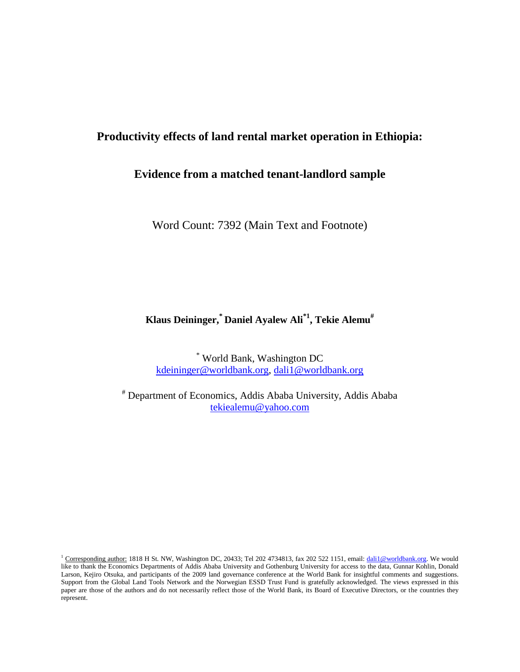# **Productivity effects of land rental market operation in Ethiopia:**

# **Evidence from a matched tenant-landlord sample**

Word Count: 7392 (Main Text and Footnote)

# **Klaus Deininger,\* Daniel Ayalew Ali\*1 , Tekie Alemu#**

\* World Bank, Washington DC [kdeininger@worldbank.org,](mailto:kdeininger@worldbank.org) [dali1@worldbank.org](mailto:dali1@worldbank.org)

# Department of Economics, Addis Ababa University, Addis Ababa [tekiealemu@yahoo.com](mailto:tekiealemu@yahoo.com)

<sup>&</sup>lt;sup>1</sup> Corresponding author: 1818 H St. NW, Washington DC, 20433; Tel 202 4734813, fax 202 522 1151, email: [dali1@worldbank.org.](mailto:dali1@worldbank.org) We would like to thank the Economics Departments of Addis Ababa University and Gothenburg University for access to the data, Gunnar Kohlin, Donald Larson, Kejiro Otsuka, and participants of the 2009 land governance conference at the World Bank for insightful comments and suggestions. Support from the Global Land Tools Network and the Norwegian ESSD Trust Fund is gratefully acknowledged. The views expressed in this paper are those of the authors and do not necessarily reflect those of the World Bank, its Board of Executive Directors, or the countries they represent.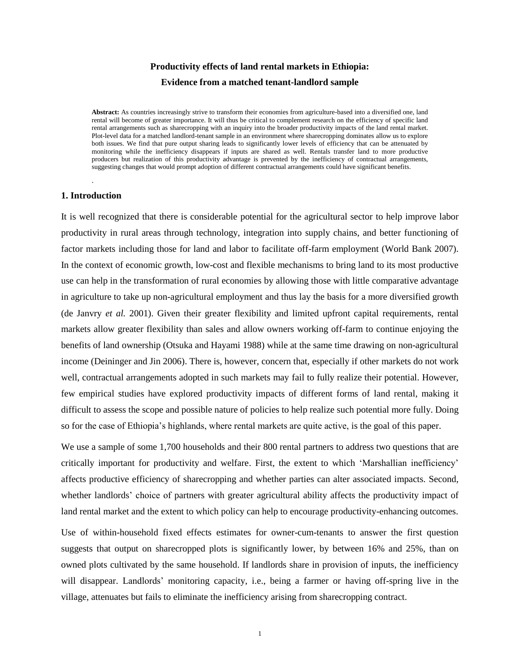## **Productivity effects of land rental markets in Ethiopia: Evidence from a matched tenant-landlord sample**

**Abstract:** As countries increasingly strive to transform their economies from agriculture-based into a diversified one, land rental will become of greater importance. It will thus be critical to complement research on the efficiency of specific land rental arrangements such as sharecropping with an inquiry into the broader productivity impacts of the land rental market. Plot-level data for a matched landlord-tenant sample in an environment where sharecropping dominates allow us to explore both issues. We find that pure output sharing leads to significantly lower levels of efficiency that can be attenuated by monitoring while the inefficiency disappears if inputs are shared as well. Rentals transfer land to more productive producers but realization of this productivity advantage is prevented by the inefficiency of contractual arrangements, suggesting changes that would prompt adoption of different contractual arrangements could have significant benefits.

## . **1. Introduction**

It is well recognized that there is considerable potential for the agricultural sector to help improve labor productivity in rural areas through technology, integration into supply chains, and better functioning of factor markets including those for land and labor to facilitate off-farm employment (World Bank 2007). In the context of economic growth, low-cost and flexible mechanisms to bring land to its most productive use can help in the transformation of rural economies by allowing those with little comparative advantage in agriculture to take up non-agricultural employment and thus lay the basis for a more diversified growth (de Janvry *et al.* 2001). Given their greater flexibility and limited upfront capital requirements, rental markets allow greater flexibility than sales and allow owners working off-farm to continue enjoying the benefits of land ownership (Otsuka and Hayami 1988) while at the same time drawing on non-agricultural income (Deininger and Jin 2006). There is, however, concern that, especially if other markets do not work well, contractual arrangements adopted in such markets may fail to fully realize their potential. However, few empirical studies have explored productivity impacts of different forms of land rental, making it difficult to assess the scope and possible nature of policies to help realize such potential more fully. Doing so for the case of Ethiopia's highlands, where rental markets are quite active, is the goal of this paper.

We use a sample of some 1,700 households and their 800 rental partners to address two questions that are critically important for productivity and welfare. First, the extent to which 'Marshallian inefficiency' affects productive efficiency of sharecropping and whether parties can alter associated impacts. Second, whether landlords' choice of partners with greater agricultural ability affects the productivity impact of land rental market and the extent to which policy can help to encourage productivity-enhancing outcomes.

Use of within-household fixed effects estimates for owner-cum-tenants to answer the first question suggests that output on sharecropped plots is significantly lower, by between 16% and 25%, than on owned plots cultivated by the same household. If landlords share in provision of inputs, the inefficiency will disappear. Landlords' monitoring capacity, i.e., being a farmer or having off-spring live in the village, attenuates but fails to eliminate the inefficiency arising from sharecropping contract.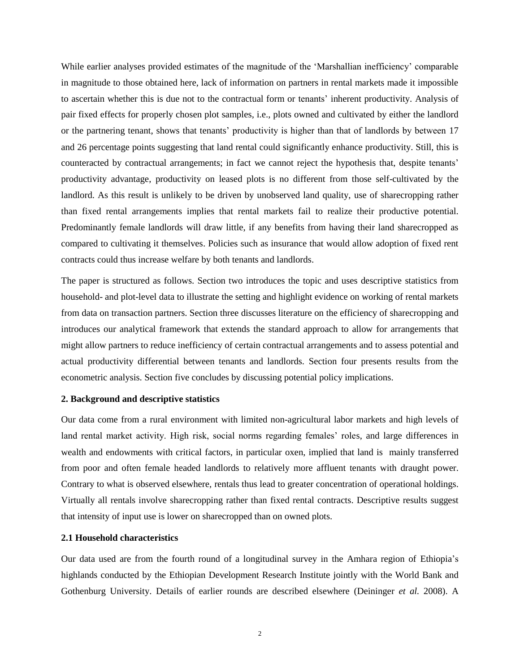While earlier analyses provided estimates of the magnitude of the 'Marshallian inefficiency' comparable in magnitude to those obtained here, lack of information on partners in rental markets made it impossible to ascertain whether this is due not to the contractual form or tenants' inherent productivity. Analysis of pair fixed effects for properly chosen plot samples, i.e., plots owned and cultivated by either the landlord or the partnering tenant, shows that tenants' productivity is higher than that of landlords by between 17 and 26 percentage points suggesting that land rental could significantly enhance productivity. Still, this is counteracted by contractual arrangements; in fact we cannot reject the hypothesis that, despite tenants' productivity advantage, productivity on leased plots is no different from those self-cultivated by the landlord. As this result is unlikely to be driven by unobserved land quality, use of sharecropping rather than fixed rental arrangements implies that rental markets fail to realize their productive potential. Predominantly female landlords will draw little, if any benefits from having their land sharecropped as compared to cultivating it themselves. Policies such as insurance that would allow adoption of fixed rent contracts could thus increase welfare by both tenants and landlords.

The paper is structured as follows. Section two introduces the topic and uses descriptive statistics from household- and plot-level data to illustrate the setting and highlight evidence on working of rental markets from data on transaction partners. Section three discusses literature on the efficiency of sharecropping and introduces our analytical framework that extends the standard approach to allow for arrangements that might allow partners to reduce inefficiency of certain contractual arrangements and to assess potential and actual productivity differential between tenants and landlords. Section four presents results from the econometric analysis. Section five concludes by discussing potential policy implications.

#### **2. Background and descriptive statistics**

Our data come from a rural environment with limited non-agricultural labor markets and high levels of land rental market activity. High risk, social norms regarding females' roles, and large differences in wealth and endowments with critical factors, in particular oxen, implied that land is mainly transferred from poor and often female headed landlords to relatively more affluent tenants with draught power. Contrary to what is observed elsewhere, rentals thus lead to greater concentration of operational holdings. Virtually all rentals involve sharecropping rather than fixed rental contracts. Descriptive results suggest that intensity of input use is lower on sharecropped than on owned plots.

#### **2.1 Household characteristics**

Our data used are from the fourth round of a longitudinal survey in the Amhara region of Ethiopia's highlands conducted by the Ethiopian Development Research Institute jointly with the World Bank and Gothenburg University. Details of earlier rounds are described elsewhere (Deininger *et al.* 2008). A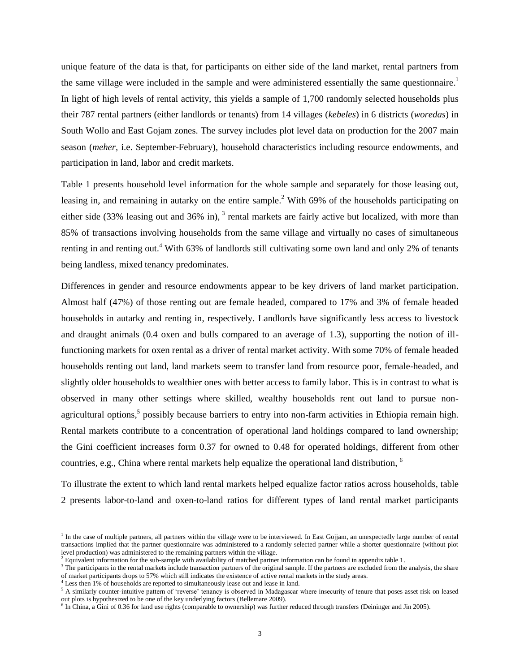unique feature of the data is that, for participants on either side of the land market, rental partners from the same village were included in the sample and were administered essentially the same questionnaire.<sup>1</sup> In light of high levels of rental activity, this yields a sample of 1,700 randomly selected households plus their 787 rental partners (either landlords or tenants) from 14 villages (*kebeles*) in 6 districts (*woredas*) in South Wollo and East Gojam zones. The survey includes plot level data on production for the 2007 main season (*meher,* i.e. September-February), household characteristics including resource endowments, and participation in land, labor and credit markets.

Table 1 presents household level information for the whole sample and separately for those leasing out, leasing in, and remaining in autarky on the entire sample.<sup>2</sup> With 69% of the households participating on either side  $(33\%$  leasing out and  $36\%$  in), <sup>3</sup> rental markets are fairly active but localized, with more than 85% of transactions involving households from the same village and virtually no cases of simultaneous renting in and renting out.<sup>4</sup> With 63% of landlords still cultivating some own land and only 2% of tenants being landless, mixed tenancy predominates.

Differences in gender and resource endowments appear to be key drivers of land market participation. Almost half (47%) of those renting out are female headed, compared to 17% and 3% of female headed households in autarky and renting in, respectively. Landlords have significantly less access to livestock and draught animals (0.4 oxen and bulls compared to an average of 1.3), supporting the notion of illfunctioning markets for oxen rental as a driver of rental market activity. With some 70% of female headed households renting out land, land markets seem to transfer land from resource poor, female-headed, and slightly older households to wealthier ones with better access to family labor. This is in contrast to what is observed in many other settings where skilled, wealthy households rent out land to pursue nonagricultural options,<sup>5</sup> possibly because barriers to entry into non-farm activities in Ethiopia remain high. Rental markets contribute to a concentration of operational land holdings compared to land ownership; the Gini coefficient increases form 0.37 for owned to 0.48 for operated holdings, different from other countries, e.g., China where rental markets help equalize the operational land distribution,  $<sup>6</sup>$ </sup>

To illustrate the extent to which land rental markets helped equalize factor ratios across households, table 2 presents labor-to-land and oxen-to-land ratios for different types of land rental market participants

 $\overline{a}$ 

<sup>&</sup>lt;sup>1</sup> In the case of multiple partners, all partners within the village were to be interviewed. In East Gojjam, an unexpectedly large number of rental transactions implied that the partner questionnaire was administered to a randomly selected partner while a shorter questionnaire (without plot level production) was administered to the remaining partners within the village.

<sup>2</sup> Equivalent information for the sub-sample with availability of matched partner information can be found in appendix table 1.

<sup>&</sup>lt;sup>3</sup>The participants in the rental markets include transaction partners of the original sample. If the partners are excluded from the analysis, the share of market participants drops to 57% which still indicates the existence of active rental markets in the study areas.

<sup>&</sup>lt;sup>4</sup> Less then 1% of households are reported to simultaneously lease out and lease in land.

<sup>&</sup>lt;sup>5</sup> A similarly counter-intuitive pattern of 'reverse' tenancy is observed in Madagascar where insecurity of tenure that poses asset risk on leased out plots is hypothesized to be one of the key underlying factors (Bellemare 2009).

<sup>&</sup>lt;sup>6</sup> In China, a Gini of 0.36 for land use rights (comparable to ownership) was further reduced through transfers (Deininger and Jin 2005).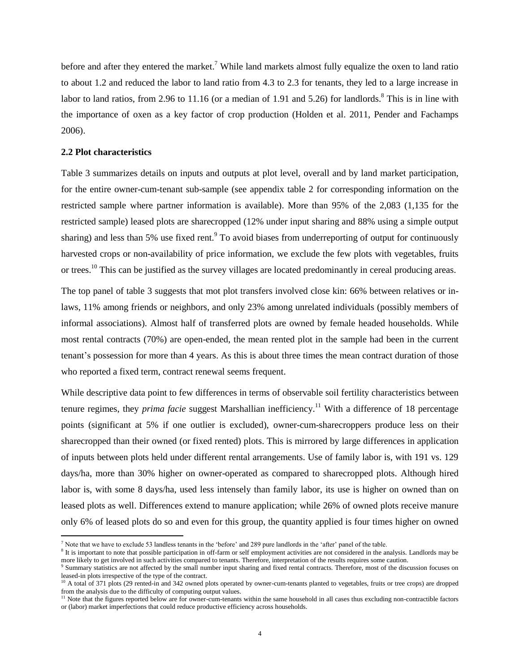before and after they entered the market.<sup>7</sup> While land markets almost fully equalize the oxen to land ratio to about 1.2 and reduced the labor to land ratio from 4.3 to 2.3 for tenants, they led to a large increase in labor to land ratios, from 2.96 to 11.16 (or a median of 1.91 and 5.26) for landlords.<sup>8</sup> This is in line with the importance of oxen as a key factor of crop production (Holden et al. 2011, Pender and Fachamps 2006).

#### **2.2 Plot characteristics**

 $\overline{a}$ 

Table 3 summarizes details on inputs and outputs at plot level, overall and by land market participation, for the entire owner-cum-tenant sub-sample (see appendix table 2 for corresponding information on the restricted sample where partner information is available). More than 95% of the 2,083 (1,135 for the restricted sample) leased plots are sharecropped (12% under input sharing and 88% using a simple output sharing) and less than 5% use fixed rent.<sup>9</sup> To avoid biases from underreporting of output for continuously harvested crops or non-availability of price information, we exclude the few plots with vegetables, fruits or trees.<sup>10</sup> This can be justified as the survey villages are located predominantly in cereal producing areas.

The top panel of table 3 suggests that mot plot transfers involved close kin: 66% between relatives or inlaws, 11% among friends or neighbors, and only 23% among unrelated individuals (possibly members of informal associations). Almost half of transferred plots are owned by female headed households. While most rental contracts (70%) are open-ended, the mean rented plot in the sample had been in the current tenant's possession for more than 4 years. As this is about three times the mean contract duration of those who reported a fixed term, contract renewal seems frequent.

While descriptive data point to few differences in terms of observable soil fertility characteristics between tenure regimes, they *prima facie* suggest Marshallian inefficiency. <sup>11</sup> With a difference of 18 percentage points (significant at 5% if one outlier is excluded), owner-cum-sharecroppers produce less on their sharecropped than their owned (or fixed rented) plots. This is mirrored by large differences in application of inputs between plots held under different rental arrangements. Use of family labor is, with 191 vs. 129 days/ha, more than 30% higher on owner-operated as compared to sharecropped plots. Although hired labor is, with some 8 days/ha, used less intensely than family labor, its use is higher on owned than on leased plots as well. Differences extend to manure application; while 26% of owned plots receive manure only 6% of leased plots do so and even for this group, the quantity applied is four times higher on owned

<sup>&</sup>lt;sup>7</sup> Note that we have to exclude 53 landless tenants in the 'before' and 289 pure landlords in the 'after' panel of the table.

<sup>&</sup>lt;sup>8</sup> It is important to note that possible participation in off-farm or self employment activities are not considered in the analysis. Landlords may be more likely to get involved in such activities compared to tenants. Therefore, interpretation of the results requires some caution.<br><sup>9</sup> Summary statistics are not affected by the small number input sharing and fixed rental

leased-in plots irrespective of the type of the contract.

<sup>&</sup>lt;sup>10</sup> A total of 371 plots (29 rented-in and 342 owned plots operated by owner-cum-tenants planted to vegetables, fruits or tree crops) are dropped from the analysis due to the difficulty of computing output values.

<sup>&</sup>lt;sup>11</sup> Note that the figures reported below are for owner-cum-tenants within the same household in all cases thus excluding non-contractible factors or (labor) market imperfections that could reduce productive efficiency across households.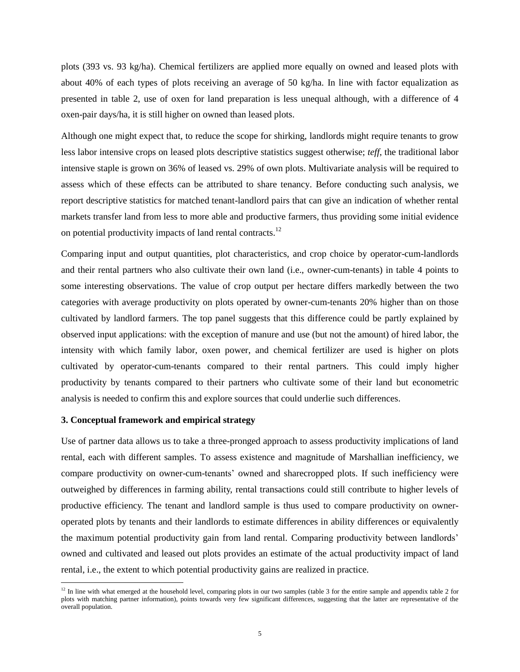plots (393 vs. 93 kg/ha). Chemical fertilizers are applied more equally on owned and leased plots with about 40% of each types of plots receiving an average of 50 kg/ha. In line with factor equalization as presented in table 2, use of oxen for land preparation is less unequal although, with a difference of 4 oxen-pair days/ha, it is still higher on owned than leased plots.

Although one might expect that, to reduce the scope for shirking, landlords might require tenants to grow less labor intensive crops on leased plots descriptive statistics suggest otherwise; *teff*, the traditional labor intensive staple is grown on 36% of leased vs. 29% of own plots. Multivariate analysis will be required to assess which of these effects can be attributed to share tenancy. Before conducting such analysis, we report descriptive statistics for matched tenant-landlord pairs that can give an indication of whether rental markets transfer land from less to more able and productive farmers, thus providing some initial evidence on potential productivity impacts of land rental contracts.<sup>12</sup>

Comparing input and output quantities, plot characteristics, and crop choice by operator-cum-landlords and their rental partners who also cultivate their own land (i.e., owner-cum-tenants) in table 4 points to some interesting observations. The value of crop output per hectare differs markedly between the two categories with average productivity on plots operated by owner-cum-tenants 20% higher than on those cultivated by landlord farmers. The top panel suggests that this difference could be partly explained by observed input applications: with the exception of manure and use (but not the amount) of hired labor, the intensity with which family labor, oxen power, and chemical fertilizer are used is higher on plots cultivated by operator-cum-tenants compared to their rental partners. This could imply higher productivity by tenants compared to their partners who cultivate some of their land but econometric analysis is needed to confirm this and explore sources that could underlie such differences.

#### **3. Conceptual framework and empirical strategy**

 $\overline{a}$ 

Use of partner data allows us to take a three-pronged approach to assess productivity implications of land rental, each with different samples. To assess existence and magnitude of Marshallian inefficiency, we compare productivity on owner-cum-tenants' owned and sharecropped plots. If such inefficiency were outweighed by differences in farming ability, rental transactions could still contribute to higher levels of productive efficiency. The tenant and landlord sample is thus used to compare productivity on owneroperated plots by tenants and their landlords to estimate differences in ability differences or equivalently the maximum potential productivity gain from land rental. Comparing productivity between landlords' owned and cultivated and leased out plots provides an estimate of the actual productivity impact of land rental, i.e., the extent to which potential productivity gains are realized in practice.

<sup>&</sup>lt;sup>12</sup> In line with what emerged at the household level, comparing plots in our two samples (table 3 for the entire sample and appendix table 2 for plots with matching partner information), points towards very few significant differences, suggesting that the latter are representative of the overall population.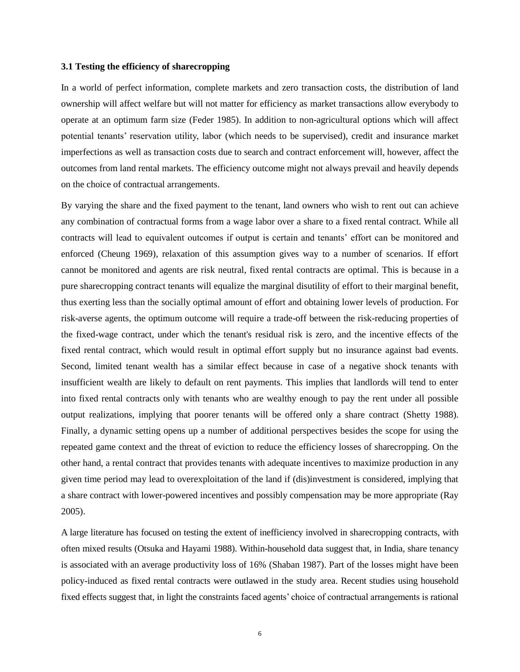#### **3.1 Testing the efficiency of sharecropping**

In a world of perfect information, complete markets and zero transaction costs, the distribution of land ownership will affect welfare but will not matter for efficiency as market transactions allow everybody to operate at an optimum farm size (Feder 1985). In addition to non-agricultural options which will affect potential tenants' reservation utility, labor (which needs to be supervised), credit and insurance market imperfections as well as transaction costs due to search and contract enforcement will, however, affect the outcomes from land rental markets. The efficiency outcome might not always prevail and heavily depends on the choice of contractual arrangements.

By varying the share and the fixed payment to the tenant, land owners who wish to rent out can achieve any combination of contractual forms from a wage labor over a share to a fixed rental contract. While all contracts will lead to equivalent outcomes if output is certain and tenants' effort can be monitored and enforced (Cheung 1969), relaxation of this assumption gives way to a number of scenarios. If effort cannot be monitored and agents are risk neutral, fixed rental contracts are optimal. This is because in a pure sharecropping contract tenants will equalize the marginal disutility of effort to their marginal benefit, thus exerting less than the socially optimal amount of effort and obtaining lower levels of production. For risk-averse agents, the optimum outcome will require a trade-off between the risk-reducing properties of the fixed-wage contract, under which the tenant's residual risk is zero, and the incentive effects of the fixed rental contract, which would result in optimal effort supply but no insurance against bad events. Second, limited tenant wealth has a similar effect because in case of a negative shock tenants with insufficient wealth are likely to default on rent payments. This implies that landlords will tend to enter into fixed rental contracts only with tenants who are wealthy enough to pay the rent under all possible output realizations, implying that poorer tenants will be offered only a share contract (Shetty 1988). Finally, a dynamic setting opens up a number of additional perspectives besides the scope for using the repeated game context and the threat of eviction to reduce the efficiency losses of sharecropping. On the other hand, a rental contract that provides tenants with adequate incentives to maximize production in any given time period may lead to overexploitation of the land if (dis)investment is considered, implying that a share contract with lower-powered incentives and possibly compensation may be more appropriate (Ray 2005).

A large literature has focused on testing the extent of inefficiency involved in sharecropping contracts, with often mixed results (Otsuka and Hayami 1988). Within-household data suggest that, in India, share tenancy is associated with an average productivity loss of 16% (Shaban 1987). Part of the losses might have been policy-induced as fixed rental contracts were outlawed in the study area. Recent studies using household fixed effects suggest that, in light the constraints faced agents' choice of contractual arrangements is rational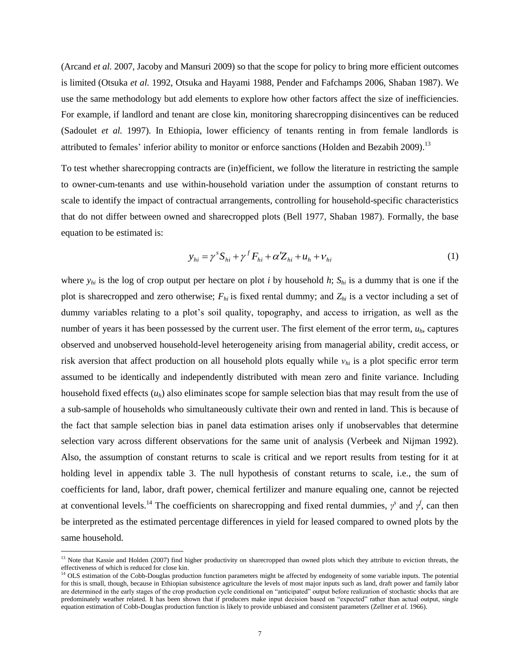(Arcand *et al.* 2007, Jacoby and Mansuri 2009) so that the scope for policy to bring more efficient outcomes is limited (Otsuka *et al.* 1992, Otsuka and Hayami 1988, Pender and Fafchamps 2006, Shaban 1987). We use the same methodology but add elements to explore how other factors affect the size of inefficiencies. For example, if landlord and tenant are close kin, monitoring sharecropping disincentives can be reduced (Sadoulet *et al.* 1997). In Ethiopia, lower efficiency of tenants renting in from female landlords is attributed to females' inferior ability to monitor or enforce sanctions (Holden and Bezabih 2009).<sup>13</sup>

To test whether sharecropping contracts are (in)efficient, we follow the literature in restricting the sample to owner-cum-tenants and use within-household variation under the assumption of constant returns to scale to identify the impact of contractual arrangements, controlling for household-specific characteristics that do not differ between owned and sharecropped plots (Bell 1977, Shaban 1987). Formally, the base equation to be estimated is:

$$
y_{hi} = \gamma^s S_{hi} + \gamma^f F_{hi} + \alpha' Z_{hi} + u_h + v_{hi}
$$
 (1)

where  $y_h$  is the log of crop output per hectare on plot *i* by household *h*;  $S_h$  is a dummy that is one if the plot is sharecropped and zero otherwise; *Fhi* is fixed rental dummy; and *Zhi* is a vector including a set of dummy variables relating to a plot's soil quality, topography, and access to irrigation, as well as the number of years it has been possessed by the current user. The first element of the error term, *uh*, captures observed and unobserved household-level heterogeneity arising from managerial ability, credit access, or risk aversion that affect production on all household plots equally while *νhi* is a plot specific error term assumed to be identically and independently distributed with mean zero and finite variance. Including household fixed effects (*uh*) also eliminates scope for sample selection bias that may result from the use of a sub-sample of households who simultaneously cultivate their own and rented in land. This is because of the fact that sample selection bias in panel data estimation arises only if unobservables that determine selection vary across different observations for the same unit of analysis (Verbeek and Nijman 1992). Also, the assumption of constant returns to scale is critical and we report results from testing for it at holding level in appendix table 3. The null hypothesis of constant returns to scale, i.e., the sum of coefficients for land, labor, draft power, chemical fertilizer and manure equaling one, cannot be rejected at conventional levels.<sup>14</sup> The coefficients on sharecropping and fixed rental dummies,  $\gamma^s$  and  $\gamma^f$ , can then be interpreted as the estimated percentage differences in yield for leased compared to owned plots by the same household.

 $\overline{a}$ 

<sup>&</sup>lt;sup>13</sup> Note that Kassie and Holden (2007) find higher productivity on sharecropped than owned plots which they attribute to eviction threats, the effectiveness of which is reduced for close kin.

<sup>&</sup>lt;sup>14</sup> OLS estimation of the Cobb-Douglas production function parameters might be affected by endogeneity of some variable inputs. The potential for this is small, though, because in Ethiopian subsistence agriculture the levels of most major inputs such as land, draft power and family labor are determined in the early stages of the crop production cycle conditional on "anticipated" output before realization of stochastic shocks that are predominately weather related. It has been shown that if producers make input decision based on "expected" rather than actual output, single equation estimation of Cobb-Douglas production function is likely to provide unbiased and consistent parameters (Zellner *et al.* 1966).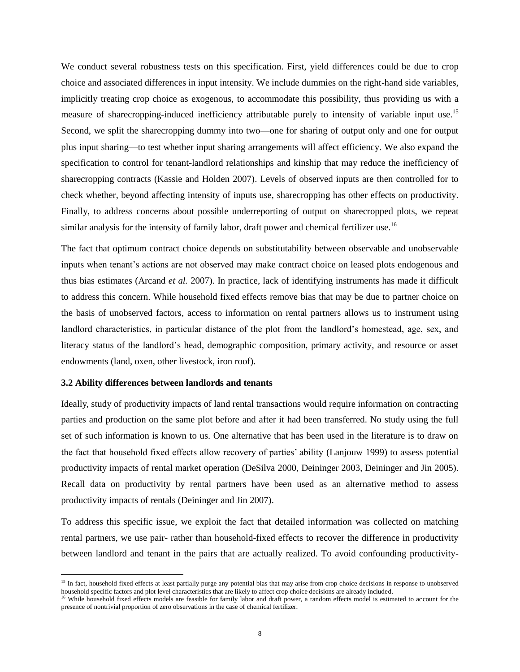We conduct several robustness tests on this specification. First, yield differences could be due to crop choice and associated differences in input intensity. We include dummies on the right-hand side variables, implicitly treating crop choice as exogenous, to accommodate this possibility, thus providing us with a measure of sharecropping-induced inefficiency attributable purely to intensity of variable input use.<sup>15</sup> Second, we split the sharecropping dummy into two—one for sharing of output only and one for output plus input sharing—to test whether input sharing arrangements will affect efficiency. We also expand the specification to control for tenant-landlord relationships and kinship that may reduce the inefficiency of sharecropping contracts (Kassie and Holden 2007). Levels of observed inputs are then controlled for to check whether, beyond affecting intensity of inputs use, sharecropping has other effects on productivity. Finally, to address concerns about possible underreporting of output on sharecropped plots, we repeat similar analysis for the intensity of family labor, draft power and chemical fertilizer use.<sup>16</sup>

The fact that optimum contract choice depends on substitutability between observable and unobservable inputs when tenant's actions are not observed may make contract choice on leased plots endogenous and thus bias estimates (Arcand *et al.* 2007). In practice, lack of identifying instruments has made it difficult to address this concern. While household fixed effects remove bias that may be due to partner choice on the basis of unobserved factors, access to information on rental partners allows us to instrument using landlord characteristics, in particular distance of the plot from the landlord's homestead, age, sex, and literacy status of the landlord's head, demographic composition, primary activity, and resource or asset endowments (land, oxen, other livestock, iron roof).

#### **3.2 Ability differences between landlords and tenants**

 $\overline{a}$ 

Ideally, study of productivity impacts of land rental transactions would require information on contracting parties and production on the same plot before and after it had been transferred. No study using the full set of such information is known to us. One alternative that has been used in the literature is to draw on the fact that household fixed effects allow recovery of parties' ability (Lanjouw 1999) to assess potential productivity impacts of rental market operation (DeSilva 2000, Deininger 2003, Deininger and Jin 2005). Recall data on productivity by rental partners have been used as an alternative method to assess productivity impacts of rentals (Deininger and Jin 2007).

To address this specific issue, we exploit the fact that detailed information was collected on matching rental partners, we use pair- rather than household-fixed effects to recover the difference in productivity between landlord and tenant in the pairs that are actually realized. To avoid confounding productivity-

<sup>&</sup>lt;sup>15</sup> In fact, household fixed effects at least partially purge any potential bias that may arise from crop choice decisions in response to unobserved household specific factors and plot level characteristics that are likely to affect crop choice decisions are already included.

<sup>&</sup>lt;sup>16</sup> While household fixed effects models are feasible for family labor and draft power, a random effects model is estimated to account for the presence of nontrivial proportion of zero observations in the case of chemical fertilizer.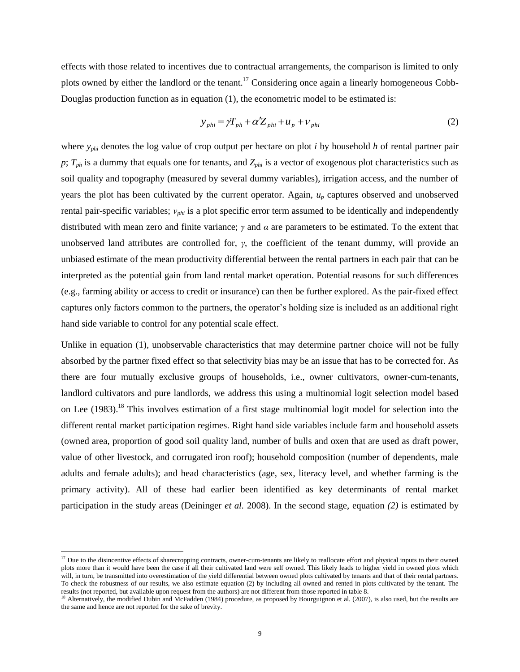effects with those related to incentives due to contractual arrangements, the comparison is limited to only plots owned by either the landlord or the tenant.<sup>17</sup> Considering once again a linearly homogeneous Cobb-Douglas production function as in equation (1), the econometric model to be estimated is:

$$
y_{phi} = \gamma T_{ph} + \alpha' Z_{phi} + u_p + v_{phi}
$$
 (2)

where *yphi* denotes the log value of crop output per hectare on plot *i* by household *h* of rental partner pair *p*; *Tph* is a dummy that equals one for tenants, and *Zphi* is a vector of exogenous plot characteristics such as soil quality and topography (measured by several dummy variables), irrigation access, and the number of years the plot has been cultivated by the current operator. Again, *u<sup>p</sup>* captures observed and unobserved rental pair-specific variables; *νphi* is a plot specific error term assumed to be identically and independently distributed with mean zero and finite variance; *γ* and *α* are parameters to be estimated. To the extent that unobserved land attributes are controlled for, *γ*, the coefficient of the tenant dummy, will provide an unbiased estimate of the mean productivity differential between the rental partners in each pair that can be interpreted as the potential gain from land rental market operation. Potential reasons for such differences (e.g., farming ability or access to credit or insurance) can then be further explored. As the pair-fixed effect captures only factors common to the partners, the operator's holding size is included as an additional right hand side variable to control for any potential scale effect.

Unlike in equation (1), unobservable characteristics that may determine partner choice will not be fully absorbed by the partner fixed effect so that selectivity bias may be an issue that has to be corrected for. As there are four mutually exclusive groups of households, i.e., owner cultivators, owner-cum-tenants, landlord cultivators and pure landlords, we address this using a multinomial logit selection model based on Lee (1983).<sup>18</sup> This involves estimation of a first stage multinomial logit model for selection into the different rental market participation regimes. Right hand side variables include farm and household assets (owned area, proportion of good soil quality land, number of bulls and oxen that are used as draft power, value of other livestock, and corrugated iron roof); household composition (number of dependents, male adults and female adults); and head characteristics (age, sex, literacy level, and whether farming is the primary activity). All of these had earlier been identified as key determinants of rental market participation in the study areas (Deininger *et al.* 2008). In the second stage, equation *(2)* is estimated by

 $\overline{a}$ 

 $17$  Due to the disincentive effects of sharecropping contracts, owner-cum-tenants are likely to reallocate effort and physical inputs to their owned plots more than it would have been the case if all their cultivated land were self owned. This likely leads to higher yield in owned plots which will, in turn, be transmitted into overestimation of the yield differential between owned plots cultivated by tenants and that of their rental partners. To check the robustness of our results, we also estimate equation (2) by including all owned and rented in plots cultivated by the tenant. The results (not reported, but available upon request from the authors) are not different from those reported in table 8.

<sup>&</sup>lt;sup>18</sup> Alternatively, the modified Dubin and McFadden (1984) procedure, as proposed by Bourguignon et al. (2007), is also used, but the results are the same and hence are not reported for the sake of brevity.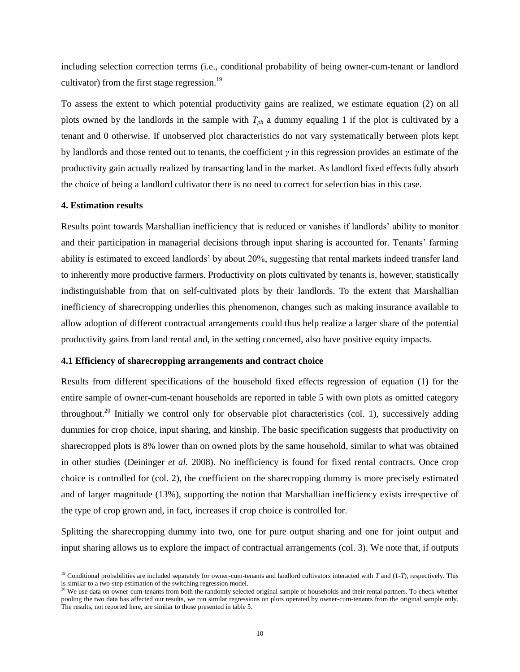including selection correction terms (i.e., conditional probability of being owner-cum-tenant or landlord cultivator) from the first stage regression. $^{19}$ 

To assess the extent to which potential productivity gains are realized, we estimate equation (2) on all plots owned by the landlords in the sample with *Tph* a dummy equaling 1 if the plot is cultivated by a tenant and 0 otherwise. If unobserved plot characteristics do not vary systematically between plots kept by landlords and those rented out to tenants, the coefficient *γ* in this regression provides an estimate of the productivity gain actually realized by transacting land in the market. As landlord fixed effects fully absorb the choice of being a landlord cultivator there is no need to correct for selection bias in this case.

#### **4. Estimation results**

 $\overline{a}$ 

Results point towards Marshallian inefficiency that is reduced or vanishes if landlords' ability to monitor and their participation in managerial decisions through input sharing is accounted for. Tenants' farming ability is estimated to exceed landlords' by about 20%, suggesting that rental markets indeed transfer land to inherently more productive farmers. Productivity on plots cultivated by tenants is, however, statistically indistinguishable from that on self-cultivated plots by their landlords. To the extent that Marshallian inefficiency of sharecropping underlies this phenomenon, changes such as making insurance available to allow adoption of different contractual arrangements could thus help realize a larger share of the potential productivity gains from land rental and, in the setting concerned, also have positive equity impacts.

#### **4.1 Efficiency of sharecropping arrangements and contract choice**

Results from different specifications of the household fixed effects regression of equation (1) for the entire sample of owner-cum-tenant households are reported in table 5 with own plots as omitted category throughout.<sup>20</sup> Initially we control only for observable plot characteristics (col. 1), successively adding dummies for crop choice, input sharing, and kinship. The basic specification suggests that productivity on sharecropped plots is 8% lower than on owned plots by the same household, similar to what was obtained in other studies (Deininger *et al.* 2008). No inefficiency is found for fixed rental contracts. Once crop choice is controlled for (col. 2), the coefficient on the sharecropping dummy is more precisely estimated and of larger magnitude (13%), supporting the notion that Marshallian inefficiency exists irrespective of the type of crop grown and, in fact, increases if crop choice is controlled for.

Splitting the sharecropping dummy into two, one for pure output sharing and one for joint output and input sharing allows us to explore the impact of contractual arrangements (col. 3). We note that, if outputs

<sup>19</sup> Conditional probabilities are included separately for owner-cum-tenants and landlord cultivators interacted with *T* and (1-*T*), respectively. This is similar to a two-step estimation of the switching regression model.

 $20$  We use data on owner-cum-tenants from both the randomly selected original sample of households and their rental partners. To check whether pooling the two data has affected our results, we run similar regressions on plots operated by owner-cum-tenants from the original sample only. The results, not reported here, are similar to those presented in table 5.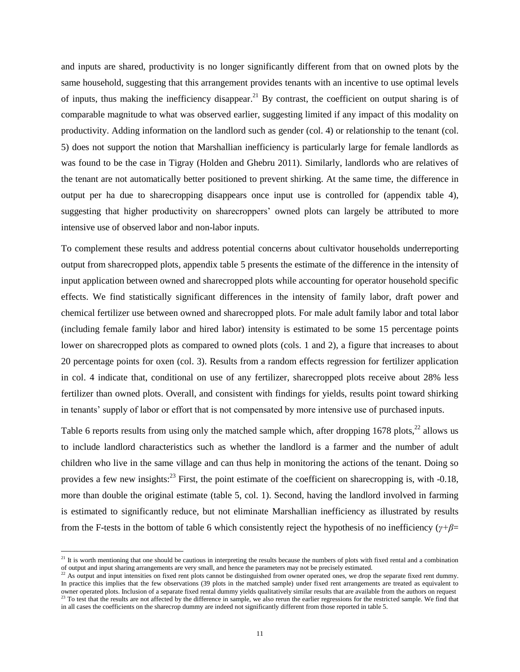and inputs are shared, productivity is no longer significantly different from that on owned plots by the same household, suggesting that this arrangement provides tenants with an incentive to use optimal levels of inputs, thus making the inefficiency disappear.<sup>21</sup> By contrast, the coefficient on output sharing is of comparable magnitude to what was observed earlier, suggesting limited if any impact of this modality on productivity. Adding information on the landlord such as gender (col. 4) or relationship to the tenant (col. 5) does not support the notion that Marshallian inefficiency is particularly large for female landlords as was found to be the case in Tigray (Holden and Ghebru 2011). Similarly, landlords who are relatives of the tenant are not automatically better positioned to prevent shirking. At the same time, the difference in output per ha due to sharecropping disappears once input use is controlled for (appendix table 4), suggesting that higher productivity on sharecroppers' owned plots can largely be attributed to more intensive use of observed labor and non-labor inputs.

To complement these results and address potential concerns about cultivator households underreporting output from sharecropped plots, appendix table 5 presents the estimate of the difference in the intensity of input application between owned and sharecropped plots while accounting for operator household specific effects. We find statistically significant differences in the intensity of family labor, draft power and chemical fertilizer use between owned and sharecropped plots. For male adult family labor and total labor (including female family labor and hired labor) intensity is estimated to be some 15 percentage points lower on sharecropped plots as compared to owned plots (cols. 1 and 2), a figure that increases to about 20 percentage points for oxen (col. 3). Results from a random effects regression for fertilizer application in col. 4 indicate that, conditional on use of any fertilizer, sharecropped plots receive about 28% less fertilizer than owned plots. Overall, and consistent with findings for yields, results point toward shirking in tenants' supply of labor or effort that is not compensated by more intensive use of purchased inputs.

Table 6 reports results from using only the matched sample which, after dropping  $1678$  plots,<sup>22</sup> allows us to include landlord characteristics such as whether the landlord is a farmer and the number of adult children who live in the same village and can thus help in monitoring the actions of the tenant. Doing so provides a few new insights:<sup>23</sup> First, the point estimate of the coefficient on sharecropping is, with -0.18, more than double the original estimate (table 5, col. 1). Second, having the landlord involved in farming is estimated to significantly reduce, but not eliminate Marshallian inefficiency as illustrated by results from the F-tests in the bottom of table 6 which consistently reject the hypothesis of no inefficiency (*γ+β*=

 $\overline{a}$ 

<sup>&</sup>lt;sup>21</sup> It is worth mentioning that one should be cautious in interpreting the results because the numbers of plots with fixed rental and a combination of output and input sharing arrangements are very small, and hence the parameters may not be precisely estimated.

 $^{22}$  As output and input intensities on fixed rent plots cannot be distinguished from owner operated ones, we drop the separate fixed rent dummy. In practice this implies that the few observations (39 plots in the matched sample) under fixed rent arrangements are treated as equivalent to owner operated plots. Inclusion of a separate fixed rental dummy yields qualitatively similar results that are available from the authors on request <sup>23</sup> To test that the results are not affected by the difference in sample, we also rerun the earlier regressions for the restricted sample. We find that in all cases the coefficients on the sharecrop dummy are indeed not significantly different from those reported in table 5.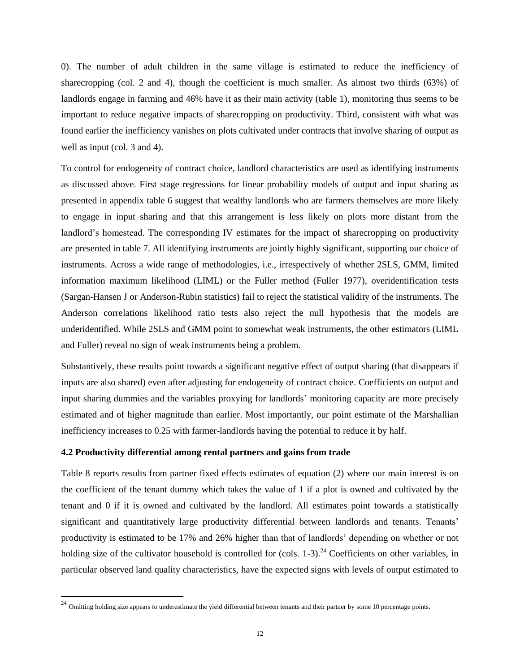0). The number of adult children in the same village is estimated to reduce the inefficiency of sharecropping (col. 2 and 4), though the coefficient is much smaller. As almost two thirds (63%) of landlords engage in farming and 46% have it as their main activity (table 1), monitoring thus seems to be important to reduce negative impacts of sharecropping on productivity. Third, consistent with what was found earlier the inefficiency vanishes on plots cultivated under contracts that involve sharing of output as well as input (col. 3 and 4).

To control for endogeneity of contract choice, landlord characteristics are used as identifying instruments as discussed above. First stage regressions for linear probability models of output and input sharing as presented in appendix table 6 suggest that wealthy landlords who are farmers themselves are more likely to engage in input sharing and that this arrangement is less likely on plots more distant from the landlord's homestead. The corresponding IV estimates for the impact of sharecropping on productivity are presented in table 7. All identifying instruments are jointly highly significant, supporting our choice of instruments. Across a wide range of methodologies, i.e., irrespectively of whether 2SLS, GMM, limited information maximum likelihood (LIML) or the Fuller method (Fuller 1977), overidentification tests (Sargan-Hansen J or Anderson-Rubin statistics) fail to reject the statistical validity of the instruments. The Anderson correlations likelihood ratio tests also reject the null hypothesis that the models are underidentified. While 2SLS and GMM point to somewhat weak instruments, the other estimators (LIML and Fuller) reveal no sign of weak instruments being a problem.

Substantively, these results point towards a significant negative effect of output sharing (that disappears if inputs are also shared) even after adjusting for endogeneity of contract choice. Coefficients on output and input sharing dummies and the variables proxying for landlords' monitoring capacity are more precisely estimated and of higher magnitude than earlier. Most importantly, our point estimate of the Marshallian inefficiency increases to 0.25 with farmer-landlords having the potential to reduce it by half.

#### **4.2 Productivity differential among rental partners and gains from trade**

 $\overline{a}$ 

Table 8 reports results from partner fixed effects estimates of equation (2) where our main interest is on the coefficient of the tenant dummy which takes the value of 1 if a plot is owned and cultivated by the tenant and 0 if it is owned and cultivated by the landlord. All estimates point towards a statistically significant and quantitatively large productivity differential between landlords and tenants. Tenants' productivity is estimated to be 17% and 26% higher than that of landlords' depending on whether or not holding size of the cultivator household is controlled for (cols.  $1-3$ ).<sup>24</sup> Coefficients on other variables, in particular observed land quality characteristics, have the expected signs with levels of output estimated to

 $^{24}$  Omitting holding size appears to underestimate the yield differential between tenants and their partner by some 10 percentage points.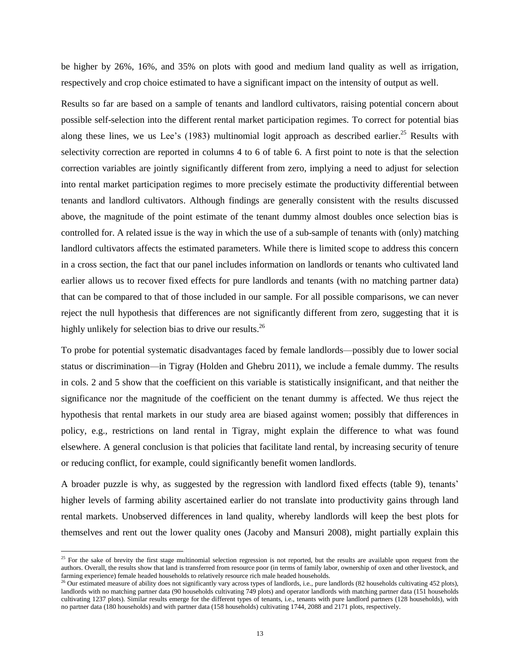be higher by 26%, 16%, and 35% on plots with good and medium land quality as well as irrigation, respectively and crop choice estimated to have a significant impact on the intensity of output as well.

Results so far are based on a sample of tenants and landlord cultivators, raising potential concern about possible self-selection into the different rental market participation regimes. To correct for potential bias along these lines, we us Lee's (1983) multinomial logit approach as described earlier.<sup>25</sup> Results with selectivity correction are reported in columns 4 to 6 of table 6. A first point to note is that the selection correction variables are jointly significantly different from zero, implying a need to adjust for selection into rental market participation regimes to more precisely estimate the productivity differential between tenants and landlord cultivators. Although findings are generally consistent with the results discussed above, the magnitude of the point estimate of the tenant dummy almost doubles once selection bias is controlled for. A related issue is the way in which the use of a sub-sample of tenants with (only) matching landlord cultivators affects the estimated parameters. While there is limited scope to address this concern in a cross section, the fact that our panel includes information on landlords or tenants who cultivated land earlier allows us to recover fixed effects for pure landlords and tenants (with no matching partner data) that can be compared to that of those included in our sample. For all possible comparisons, we can never reject the null hypothesis that differences are not significantly different from zero, suggesting that it is highly unlikely for selection bias to drive our results.<sup>26</sup>

To probe for potential systematic disadvantages faced by female landlords—possibly due to lower social status or discrimination—in Tigray (Holden and Ghebru 2011), we include a female dummy. The results in cols. 2 and 5 show that the coefficient on this variable is statistically insignificant, and that neither the significance nor the magnitude of the coefficient on the tenant dummy is affected. We thus reject the hypothesis that rental markets in our study area are biased against women; possibly that differences in policy, e.g., restrictions on land rental in Tigray, might explain the difference to what was found elsewhere. A general conclusion is that policies that facilitate land rental, by increasing security of tenure or reducing conflict, for example, could significantly benefit women landlords.

A broader puzzle is why, as suggested by the regression with landlord fixed effects (table 9), tenants' higher levels of farming ability ascertained earlier do not translate into productivity gains through land rental markets. Unobserved differences in land quality, whereby landlords will keep the best plots for themselves and rent out the lower quality ones (Jacoby and Mansuri 2008), might partially explain this

 $\overline{a}$ 

 $25$  For the sake of brevity the first stage multinomial selection regression is not reported, but the results are available upon request from the authors. Overall, the results show that land is transferred from resource poor (in terms of family labor, ownership of oxen and other livestock, and farming experience) female headed households to relatively resource rich male headed households.

<sup>&</sup>lt;sup>26</sup> Our estimated measure of ability does not significantly vary across types of landlords, i.e., pure landlords (82 households cultivating 452 plots), landlords with no matching partner data (90 households cultivating 749 plots) and operator landlords with matching partner data (151 households cultivating 1237 plots). Similar results emerge for the different types of tenants, i.e., tenants with pure landlord partners (128 households), with no partner data (180 households) and with partner data (158 households) cultivating 1744, 2088 and 2171 plots, respectively.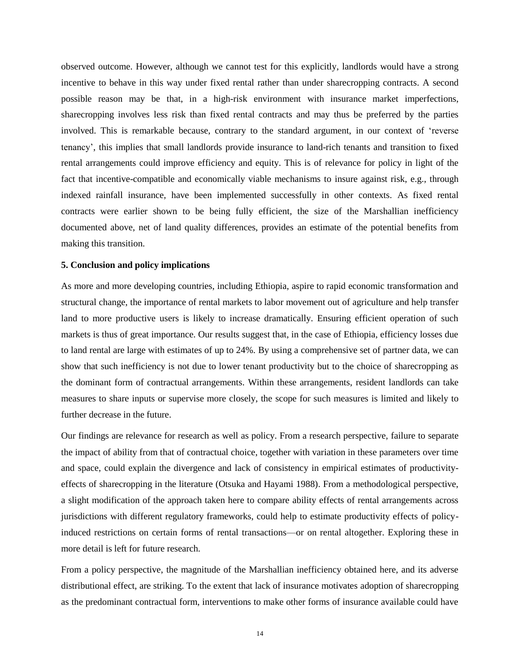observed outcome. However, although we cannot test for this explicitly, landlords would have a strong incentive to behave in this way under fixed rental rather than under sharecropping contracts. A second possible reason may be that, in a high-risk environment with insurance market imperfections, sharecropping involves less risk than fixed rental contracts and may thus be preferred by the parties involved. This is remarkable because, contrary to the standard argument, in our context of 'reverse tenancy', this implies that small landlords provide insurance to land-rich tenants and transition to fixed rental arrangements could improve efficiency and equity. This is of relevance for policy in light of the fact that incentive-compatible and economically viable mechanisms to insure against risk, e.g., through indexed rainfall insurance, have been implemented successfully in other contexts. As fixed rental contracts were earlier shown to be being fully efficient, the size of the Marshallian inefficiency documented above, net of land quality differences, provides an estimate of the potential benefits from making this transition.

#### **5. Conclusion and policy implications**

As more and more developing countries, including Ethiopia, aspire to rapid economic transformation and structural change, the importance of rental markets to labor movement out of agriculture and help transfer land to more productive users is likely to increase dramatically. Ensuring efficient operation of such markets is thus of great importance. Our results suggest that, in the case of Ethiopia, efficiency losses due to land rental are large with estimates of up to 24%. By using a comprehensive set of partner data, we can show that such inefficiency is not due to lower tenant productivity but to the choice of sharecropping as the dominant form of contractual arrangements. Within these arrangements, resident landlords can take measures to share inputs or supervise more closely, the scope for such measures is limited and likely to further decrease in the future.

Our findings are relevance for research as well as policy. From a research perspective, failure to separate the impact of ability from that of contractual choice, together with variation in these parameters over time and space, could explain the divergence and lack of consistency in empirical estimates of productivityeffects of sharecropping in the literature (Otsuka and Hayami 1988). From a methodological perspective, a slight modification of the approach taken here to compare ability effects of rental arrangements across jurisdictions with different regulatory frameworks, could help to estimate productivity effects of policyinduced restrictions on certain forms of rental transactions—or on rental altogether. Exploring these in more detail is left for future research.

From a policy perspective, the magnitude of the Marshallian inefficiency obtained here, and its adverse distributional effect, are striking. To the extent that lack of insurance motivates adoption of sharecropping as the predominant contractual form, interventions to make other forms of insurance available could have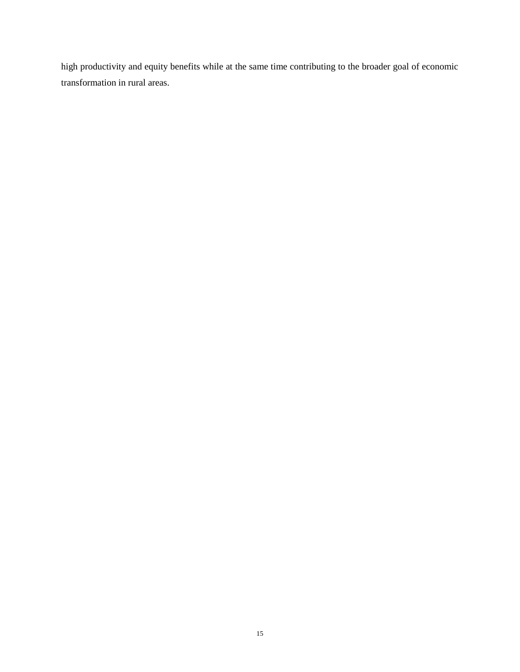high productivity and equity benefits while at the same time contributing to the broader goal of economic transformation in rural areas.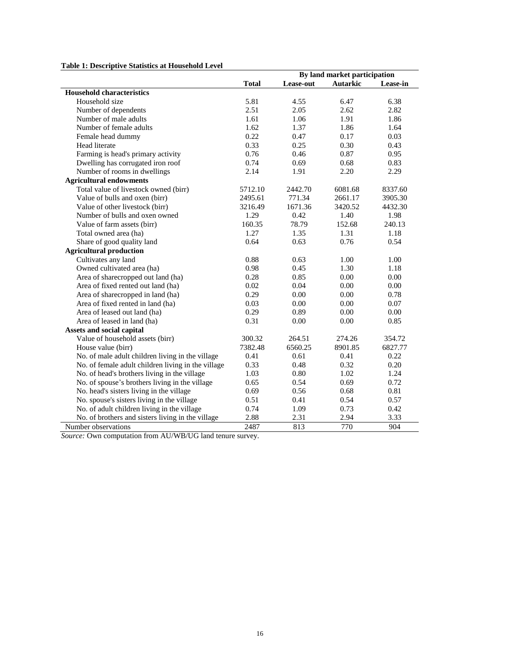|                                                    | By land market participation |           |          |          |  |
|----------------------------------------------------|------------------------------|-----------|----------|----------|--|
|                                                    | <b>Total</b>                 | Lease-out | Autarkic | Lease-in |  |
| <b>Household characteristics</b>                   |                              |           |          |          |  |
| Household size                                     | 5.81                         | 4.55      | 6.47     | 6.38     |  |
| Number of dependents                               | 2.51                         | 2.05      | 2.62     | 2.82     |  |
| Number of male adults                              | 1.61                         | 1.06      | 1.91     | 1.86     |  |
| Number of female adults                            | 1.62                         | 1.37      | 1.86     | 1.64     |  |
| Female head dummy                                  | 0.22                         | 0.47      | 0.17     | 0.03     |  |
| Head literate                                      | 0.33                         | 0.25      | 0.30     | 0.43     |  |
| Farming is head's primary activity                 | 0.76                         | 0.46      | 0.87     | 0.95     |  |
| Dwelling has corrugated iron roof                  | 0.74                         | 0.69      | 0.68     | 0.83     |  |
| Number of rooms in dwellings                       | 2.14                         | 1.91      | 2.20     | 2.29     |  |
| <b>Agricultural endowments</b>                     |                              |           |          |          |  |
| Total value of livestock owned (birr)              | 5712.10                      | 2442.70   | 6081.68  | 8337.60  |  |
| Value of bulls and oxen (birr)                     | 2495.61                      | 771.34    | 2661.17  | 3905.30  |  |
| Value of other livestock (birr)                    | 3216.49                      | 1671.36   | 3420.52  | 4432.30  |  |
| Number of bulls and oxen owned                     | 1.29                         | 0.42      | 1.40     | 1.98     |  |
| Value of farm assets (birr)                        | 160.35                       | 78.79     | 152.68   | 240.13   |  |
| Total owned area (ha)                              | 1.27                         | 1.35      | 1.31     | 1.18     |  |
| Share of good quality land                         | 0.64                         | 0.63      | 0.76     | 0.54     |  |
| <b>Agricultural production</b>                     |                              |           |          |          |  |
| Cultivates any land                                | 0.88                         | 0.63      | 1.00     | 1.00     |  |
| Owned cultivated area (ha)                         | 0.98                         | 0.45      | 1.30     | 1.18     |  |
| Area of sharecropped out land (ha)                 | 0.28                         | 0.85      | 0.00     | 0.00     |  |
| Area of fixed rented out land (ha)                 | 0.02                         | 0.04      | 0.00     | 0.00     |  |
| Area of sharecropped in land (ha)                  | 0.29                         | 0.00      | 0.00     | 0.78     |  |
| Area of fixed rented in land (ha)                  | 0.03                         | 0.00      | 0.00     | 0.07     |  |
| Area of leased out land (ha)                       | 0.29                         | 0.89      | 0.00     | 0.00     |  |
| Area of leased in land (ha)                        | 0.31                         | 0.00      | 0.00     | 0.85     |  |
| Assets and social capital                          |                              |           |          |          |  |
| Value of household assets (birr)                   | 300.32                       | 264.51    | 274.26   | 354.72   |  |
| House value (birr)                                 | 7382.48                      | 6560.25   | 8901.85  | 6827.77  |  |
| No. of male adult children living in the village   | 0.41                         | 0.61      | 0.41     | 0.22     |  |
| No. of female adult children living in the village | 0.33                         | 0.48      | 0.32     | 0.20     |  |
| No. of head's brothers living in the village       | 1.03                         | 0.80      | 1.02     | 1.24     |  |
| No. of spouse's brothers living in the village     | 0.65                         | 0.54      | 0.69     | 0.72     |  |
| No. head's sisters living in the village           | 0.69                         | 0.56      | 0.68     | 0.81     |  |
| No. spouse's sisters living in the village         | 0.51                         | 0.41      | 0.54     | 0.57     |  |
| No. of adult children living in the village        | 0.74                         | 1.09      | 0.73     | 0.42     |  |
| No. of brothers and sisters living in the village  | 2.88                         | 2.31      | 2.94     | 3.33     |  |
| Number observations                                | 2487                         | 813       | 770      | 904      |  |

*Source:* Own computation from AU/WB/UG land tenure survey.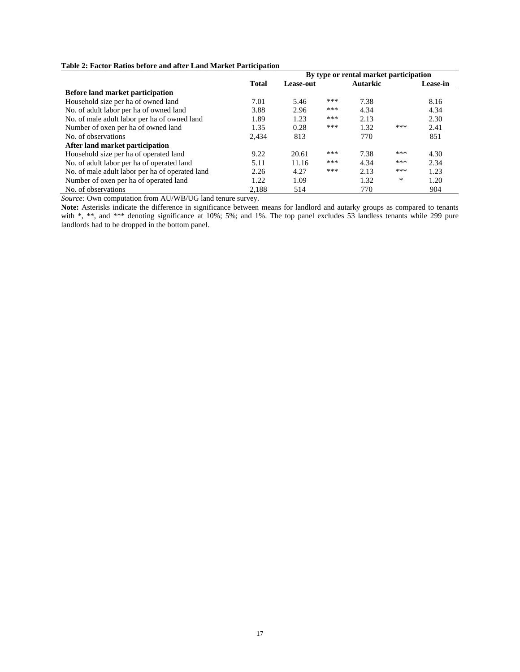| Table 2: Factor Ratios before and after Land Market Participation |
|-------------------------------------------------------------------|
|-------------------------------------------------------------------|

|                                                 | By type or rental market participation |           |     |          |     |          |
|-------------------------------------------------|----------------------------------------|-----------|-----|----------|-----|----------|
|                                                 | <b>Total</b>                           | Lease-out |     | Autarkic |     | Lease-in |
| Before land market participation                |                                        |           |     |          |     |          |
| Household size per ha of owned land             | 7.01                                   | 5.46      | *** | 7.38     |     | 8.16     |
| No. of adult labor per ha of owned land         | 3.88                                   | 2.96      | *** | 4.34     |     | 4.34     |
| No. of male adult labor per ha of owned land    | 1.89                                   | 1.23      | *** | 2.13     |     | 2.30     |
| Number of oxen per ha of owned land             | 1.35                                   | 0.28      | *** | 1.32     | *** | 2.41     |
| No. of observations                             | 2,434                                  | 813       |     | 770      |     | 851      |
| After land market participation                 |                                        |           |     |          |     |          |
| Household size per ha of operated land          | 9.22                                   | 20.61     | *** | 7.38     | *** | 4.30     |
| No. of adult labor per ha of operated land      | 5.11                                   | 11.16     | *** | 4.34     | *** | 2.34     |
| No. of male adult labor per ha of operated land | 2.26                                   | 4.27      | *** | 2.13     | *** | 1.23     |
| Number of oxen per ha of operated land          | 1.22                                   | 1.09      |     | 1.32     | *   | 1.20     |
| No. of observations                             | 2.188                                  | 514       |     | 770      |     | 904      |

*Source:* Own computation from AU/WB/UG land tenure survey.

**Note:** Asterisks indicate the difference in significance between means for landlord and autarky groups as compared to tenants with \*, \*\*, and \*\*\* denoting significance at 10%; 5%; and 1%. The top panel excludes 53 landless tenants while 299 pure landlords had to be dropped in the bottom panel.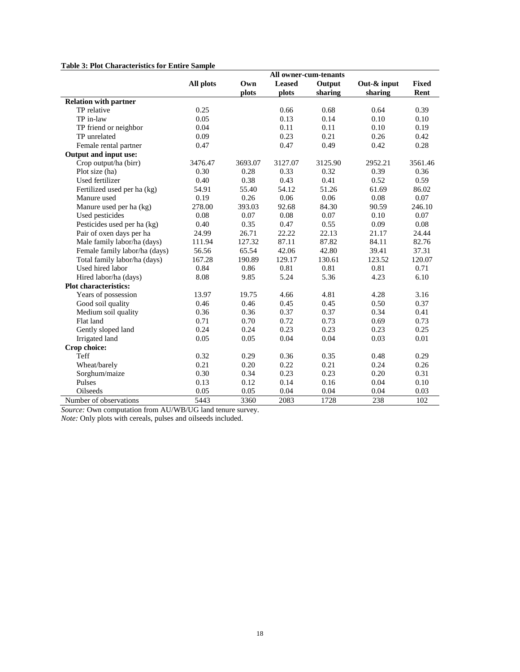#### **Table 3: Plot Characteristics for Entire Sample**

|                               |           |         |               | All owner-cum-tenants |             |              |
|-------------------------------|-----------|---------|---------------|-----------------------|-------------|--------------|
|                               | All plots | Own     | <b>Leased</b> | Output                | Out-& input | <b>Fixed</b> |
|                               |           | plots   | <b>plots</b>  | sharing               | sharing     | Rent         |
| <b>Relation with partner</b>  |           |         |               |                       |             |              |
| TP relative                   | 0.25      |         | 0.66          | 0.68                  | 0.64        | 0.39         |
| TP in-law                     | 0.05      |         | 0.13          | 0.14                  | 0.10        | 0.10         |
| TP friend or neighbor         | 0.04      |         | 0.11          | 0.11                  | 0.10        | 0.19         |
| TP unrelated                  | 0.09      |         | 0.23          | 0.21                  | 0.26        | 0.42         |
| Female rental partner         | 0.47      |         | 0.47          | 0.49                  | 0.42        | 0.28         |
| Output and input use:         |           |         |               |                       |             |              |
| Crop output/ha (birr)         | 3476.47   | 3693.07 | 3127.07       | 3125.90               | 2952.21     | 3561.46      |
| Plot size (ha)                | 0.30      | 0.28    | 0.33          | 0.32                  | 0.39        | 0.36         |
| Used fertilizer               | 0.40      | 0.38    | 0.43          | 0.41                  | 0.52        | 0.59         |
| Fertilized used per ha (kg)   | 54.91     | 55.40   | 54.12         | 51.26                 | 61.69       | 86.02        |
| Manure used                   | 0.19      | 0.26    | 0.06          | 0.06                  | 0.08        | 0.07         |
| Manure used per ha (kg)       | 278.00    | 393.03  | 92.68         | 84.30                 | 90.59       | 246.10       |
| Used pesticides               | 0.08      | 0.07    | 0.08          | 0.07                  | 0.10        | 0.07         |
| Pesticides used per ha (kg)   | 0.40      | 0.35    | 0.47          | 0.55                  | 0.09        | 0.08         |
| Pair of oxen days per ha      | 24.99     | 26.71   | 22.22         | 22.13                 | 21.17       | 24.44        |
| Male family labor/ha (days)   | 111.94    | 127.32  | 87.11         | 87.82                 | 84.11       | 82.76        |
| Female family labor/ha (days) | 56.56     | 65.54   | 42.06         | 42.80                 | 39.41       | 37.31        |
| Total family labor/ha (days)  | 167.28    | 190.89  | 129.17        | 130.61                | 123.52      | 120.07       |
| Used hired labor              | 0.84      | 0.86    | 0.81          | 0.81                  | 0.81        | 0.71         |
| Hired labor/ha (days)         | 8.08      | 9.85    | 5.24          | 5.36                  | 4.23        | 6.10         |
| <b>Plot characteristics:</b>  |           |         |               |                       |             |              |
| Years of possession           | 13.97     | 19.75   | 4.66          | 4.81                  | 4.28        | 3.16         |
| Good soil quality             | 0.46      | 0.46    | 0.45          | 0.45                  | 0.50        | 0.37         |
| Medium soil quality           | 0.36      | 0.36    | 0.37          | 0.37                  | 0.34        | 0.41         |
| Flat land                     | 0.71      | 0.70    | 0.72          | 0.73                  | 0.69        | 0.73         |
| Gently sloped land            | 0.24      | 0.24    | 0.23          | 0.23                  | 0.23        | 0.25         |
| Irrigated land                | 0.05      | 0.05    | 0.04          | 0.04                  | 0.03        | 0.01         |
| Crop choice:                  |           |         |               |                       |             |              |
| Teff                          | 0.32      | 0.29    | 0.36          | 0.35                  | 0.48        | 0.29         |
| Wheat/barely                  | 0.21      | 0.20    | 0.22          | 0.21                  | 0.24        | 0.26         |
| Sorghum/maize                 | 0.30      | 0.34    | 0.23          | 0.23                  | 0.20        | 0.31         |
| Pulses                        | 0.13      | 0.12    | 0.14          | 0.16                  | 0.04        | 0.10         |
| Oilseeds                      | 0.05      | 0.05    | 0.04          | 0.04                  | 0.04        | 0.03         |
| Number of observations        | 5443      | 3360    | 2083          | 1728                  | 238         | 102          |

*Source:* Own computation from AU/WB/UG land tenure survey.

*Note:* Only plots with cereals, pulses and oilseeds included.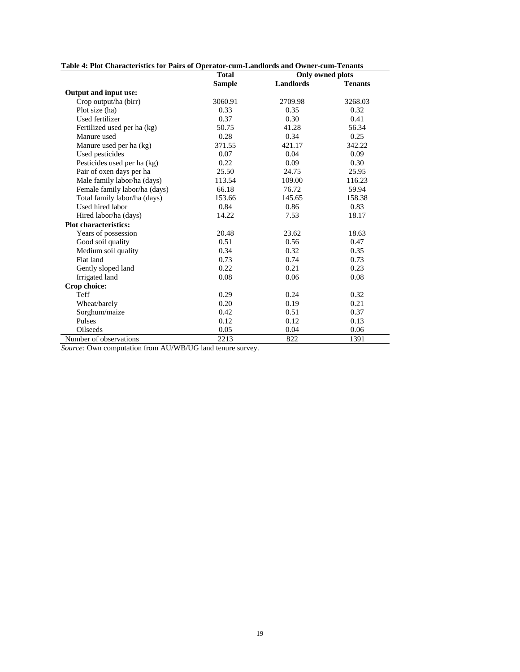|                               | <b>Total</b>  | Only owned plots |                |  |
|-------------------------------|---------------|------------------|----------------|--|
|                               | <b>Sample</b> | Landlords        | <b>Tenants</b> |  |
| Output and input use:         |               |                  |                |  |
| Crop output/ha (birr)         | 3060.91       | 2709.98          | 3268.03        |  |
| Plot size (ha)                | 0.33          | 0.35             | 0.32           |  |
| Used fertilizer               | 0.37          | 0.30             | 0.41           |  |
| Fertilized used per ha (kg)   | 50.75         | 41.28            | 56.34          |  |
| Manure used                   | 0.28          | 0.34             | 0.25           |  |
| Manure used per ha (kg)       | 371.55        | 421.17           | 342.22         |  |
| Used pesticides               | 0.07          | 0.04             | 0.09           |  |
| Pesticides used per ha (kg)   | 0.22          | 0.09             | 0.30           |  |
| Pair of oxen days per ha      | 25.50         | 24.75            | 25.95          |  |
| Male family labor/ha (days)   | 113.54        | 109.00           | 116.23         |  |
| Female family labor/ha (days) | 66.18         | 76.72            | 59.94          |  |
| Total family labor/ha (days)  | 153.66        | 145.65           | 158.38         |  |
| Used hired labor              | 0.84          | 0.86             | 0.83           |  |
| Hired labor/ha (days)         | 14.22         | 7.53             | 18.17          |  |
| <b>Plot characteristics:</b>  |               |                  |                |  |
| Years of possession           | 20.48         | 23.62            | 18.63          |  |
| Good soil quality             | 0.51          | 0.56             | 0.47           |  |
| Medium soil quality           | 0.34          | 0.32             | 0.35           |  |
| Flat land                     | 0.73          | 0.74             | 0.73           |  |
| Gently sloped land            | 0.22          | 0.21             | 0.23           |  |
| Irrigated land                | 0.08          | 0.06             | 0.08           |  |
| Crop choice:                  |               |                  |                |  |
| Teff                          | 0.29          | 0.24             | 0.32           |  |
| Wheat/barely                  | 0.20          | 0.19             | 0.21           |  |
| Sorghum/maize                 | 0.42          | 0.51             | 0.37           |  |
| Pulses                        | 0.12          | 0.12             | 0.13           |  |
| Oilseeds                      | 0.05          | 0.04             | 0.06           |  |
| Number of observations        | 2213          | 822              | 1391           |  |

*Source:* Own computation from AU/WB/UG land tenure survey.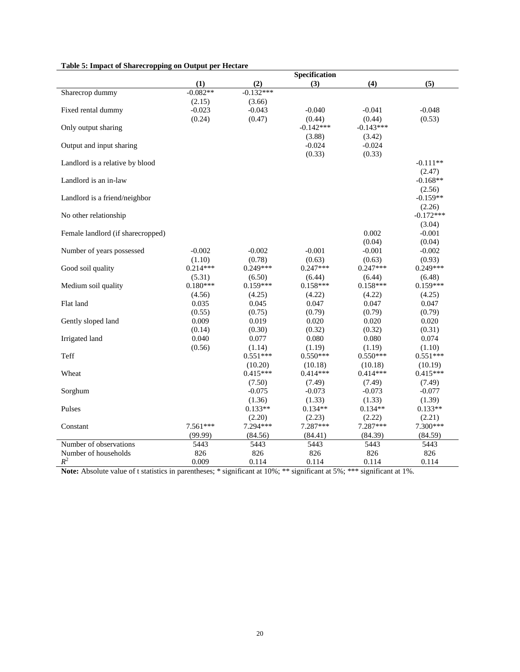| Table 5: Impact of Sharecropping on Output per Hectare |  |  |
|--------------------------------------------------------|--|--|
|--------------------------------------------------------|--|--|

|                                   |            |             | Specification |             |             |
|-----------------------------------|------------|-------------|---------------|-------------|-------------|
|                                   | (1)        | (2)         | (3)           | (4)         | (5)         |
| Sharecrop dummy                   | $-0.082**$ | $-0.132***$ |               |             |             |
|                                   | (2.15)     | (3.66)      |               |             |             |
| Fixed rental dummy                | $-0.023$   | $-0.043$    | $-0.040$      | $-0.041$    | $-0.048$    |
|                                   | (0.24)     | (0.47)      | (0.44)        | (0.44)      | (0.53)      |
| Only output sharing               |            |             | $-0.142***$   | $-0.143***$ |             |
|                                   |            |             | (3.88)        | (3.42)      |             |
| Output and input sharing          |            |             | $-0.024$      | $-0.024$    |             |
|                                   |            |             | (0.33)        | (0.33)      |             |
| Landlord is a relative by blood   |            |             |               |             | $-0.111**$  |
|                                   |            |             |               |             | (2.47)      |
| Landlord is an in-law             |            |             |               |             | $-0.168**$  |
|                                   |            |             |               |             | (2.56)      |
| Landlord is a friend/neighbor     |            |             |               |             | $-0.159**$  |
|                                   |            |             |               |             | (2.26)      |
| No other relationship             |            |             |               |             | $-0.172***$ |
|                                   |            |             |               |             | (3.04)      |
| Female landlord (if sharecropped) |            |             |               | 0.002       | $-0.001$    |
|                                   |            |             |               | (0.04)      | (0.04)      |
| Number of years possessed         | $-0.002$   | $-0.002$    | $-0.001$      | $-0.001$    | $-0.002$    |
|                                   | (1.10)     | (0.78)      | (0.63)        | (0.63)      | (0.93)      |
| Good soil quality                 | $0.214***$ | $0.249***$  | $0.247***$    | $0.247***$  | $0.249***$  |
|                                   | (5.31)     | (6.50)      | (6.44)        | (6.44)      | (6.48)      |
| Medium soil quality               | $0.180***$ | $0.159***$  | $0.158***$    | $0.158***$  | $0.159***$  |
|                                   | (4.56)     | (4.25)      | (4.22)        | (4.22)      | (4.25)      |
| Flat land                         | 0.035      | 0.045       | 0.047         | 0.047       | 0.047       |
|                                   | (0.55)     | (0.75)      | (0.79)        | (0.79)      | (0.79)      |
| Gently sloped land                | 0.009      | 0.019       | 0.020         | 0.020       | 0.020       |
|                                   | (0.14)     | (0.30)      | (0.32)        | (0.32)      | (0.31)      |
| Irrigated land                    | 0.040      | 0.077       | 0.080         | 0.080       | 0.074       |
|                                   | (0.56)     | (1.14)      | (1.19)        | (1.19)      | (1.10)      |
| Teff                              |            | $0.551***$  | $0.550***$    | $0.550***$  | $0.551***$  |
|                                   |            | (10.20)     | (10.18)       | (10.18)     | (10.19)     |
| Wheat                             |            | $0.415***$  | $0.414***$    | $0.414***$  | $0.415***$  |
|                                   |            | (7.50)      | (7.49)        | (7.49)      | (7.49)      |
| Sorghum                           |            | $-0.075$    | $-0.073$      | $-0.073$    | $-0.077$    |
|                                   |            | (1.36)      | (1.33)        | (1.33)      | (1.39)      |
| Pulses                            |            | $0.133**$   | $0.134**$     | $0.134**$   | $0.133**$   |
|                                   |            | (2.20)      | (2.23)        | (2.22)      | (2.21)      |
| Constant                          | $7.561***$ | 7.294***    | 7.287***      | 7.287***    | 7.300***    |
|                                   | (99.99)    | (84.56)     | (84.41)       | (84.39)     | (84.59)     |
| Number of observations            | 5443       | 5443        | 5443          | 5443        | 5443        |
| Number of households              | 826        | 826         | 826           | 826         | 826         |
| $R^2$                             | 0.009      | 0.114       | 0.114         | 0.114       | 0.114       |

**Note:** Absolute value of t statistics in parentheses; \* significant at 10%; \*\* significant at 5%; \*\*\* significant at 1%.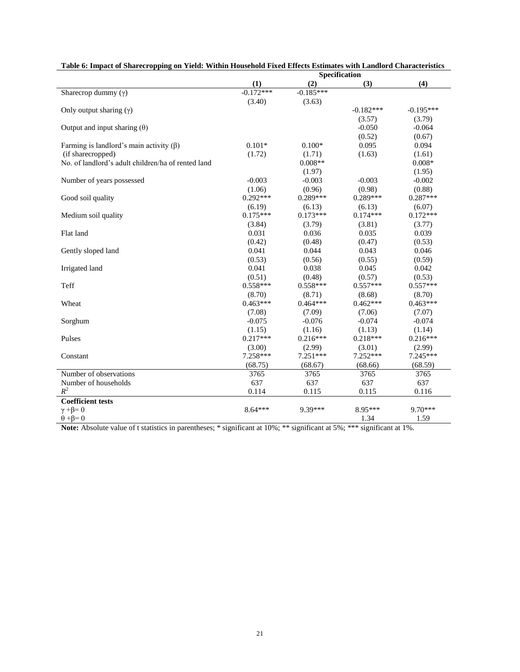|                                                    | Specification |             |             |             |  |
|----------------------------------------------------|---------------|-------------|-------------|-------------|--|
|                                                    | (1)           | (2)         | (3)         | (4)         |  |
| Sharecrop dummy $(\gamma)$                         | $-0.172***$   | $-0.185***$ |             |             |  |
|                                                    | (3.40)        | (3.63)      |             |             |  |
| Only output sharing $(\gamma)$                     |               |             | $-0.182***$ | $-0.195***$ |  |
|                                                    |               |             | (3.57)      | (3.79)      |  |
| Output and input sharing $(\theta)$                |               |             | $-0.050$    | $-0.064$    |  |
|                                                    |               |             | (0.52)      | (0.67)      |  |
| Farming is landlord's main activity $(\beta)$      | $0.101*$      | $0.100*$    | 0.095       | 0.094       |  |
| (if sharecropped)                                  | (1.72)        | (1.71)      | (1.63)      | (1.61)      |  |
| No. of landlord's adult children/ha of rented land |               | $0.008**$   |             | $0.008*$    |  |
|                                                    |               | (1.97)      |             | (1.95)      |  |
| Number of years possessed                          | $-0.003$      | $-0.003$    | $-0.003$    | $-0.002$    |  |
|                                                    | (1.06)        | (0.96)      | (0.98)      | (0.88)      |  |
| Good soil quality                                  | $0.292***$    | $0.289***$  | $0.289***$  | $0.287***$  |  |
|                                                    | (6.19)        | (6.13)      | (6.13)      | (6.07)      |  |
| Medium soil quality                                | $0.175***$    | $0.173***$  | $0.174***$  | $0.172***$  |  |
|                                                    | (3.84)        | (3.79)      | (3.81)      | (3.77)      |  |
| Flat land                                          | 0.031         | 0.036       | 0.035       | 0.039       |  |
|                                                    | (0.42)        | (0.48)      | (0.47)      | (0.53)      |  |
| Gently sloped land                                 | 0.041         | 0.044       | 0.043       | 0.046       |  |
|                                                    | (0.53)        | (0.56)      | (0.55)      | (0.59)      |  |
| Irrigated land                                     | 0.041         | 0.038       | 0.045       | 0.042       |  |
|                                                    | (0.51)        | (0.48)      | (0.57)      | (0.53)      |  |
| Teff                                               | $0.558***$    | $0.558***$  | $0.557***$  | $0.557***$  |  |
|                                                    | (8.70)        | (8.71)      | (8.68)      | (8.70)      |  |
| Wheat                                              | $0.463***$    | $0.464***$  | $0.462***$  | $0.463***$  |  |
|                                                    | (7.08)        | (7.09)      | (7.06)      | (7.07)      |  |
| Sorghum                                            | $-0.075$      | $-0.076$    | $-0.074$    | $-0.074$    |  |
|                                                    | (1.15)        | (1.16)      | (1.13)      | (1.14)      |  |
| Pulses                                             | $0.217***$    | $0.216***$  | $0.218***$  | $0.216***$  |  |
|                                                    | (3.00)        | (2.99)      | (3.01)      | (2.99)      |  |
| Constant                                           | 7.258***      | $7.251***$  | 7.252***    | 7.245***    |  |
|                                                    | (68.75)       | (68.67)     | (68.66)     | (68.59)     |  |
| Number of observations                             | 3765          | 3765        | 3765        | 3765        |  |
| Number of households                               | 637           | 637         | 637         | 637         |  |
| $R^2$                                              | 0.114         | 0.115       | 0.115       | 0.116       |  |
| <b>Coefficient tests</b>                           |               |             |             |             |  |
| $\gamma + \beta = 0$                               | $8.64***$     | 9.39***     | 8.95***     | $9.70***$   |  |
| $\theta + \beta = 0$                               |               |             | 1.34        | 1.59        |  |

|  | Table 6: Impact of Sharecropping on Yield: Within Household Fixed Effects Estimates with Landlord Characteristics |  |  |  |  |  |
|--|-------------------------------------------------------------------------------------------------------------------|--|--|--|--|--|
|--|-------------------------------------------------------------------------------------------------------------------|--|--|--|--|--|

**Note:** Absolute value of t statistics in parentheses; \* significant at 10%; \*\* significant at 5%; \*\*\* significant at 1%.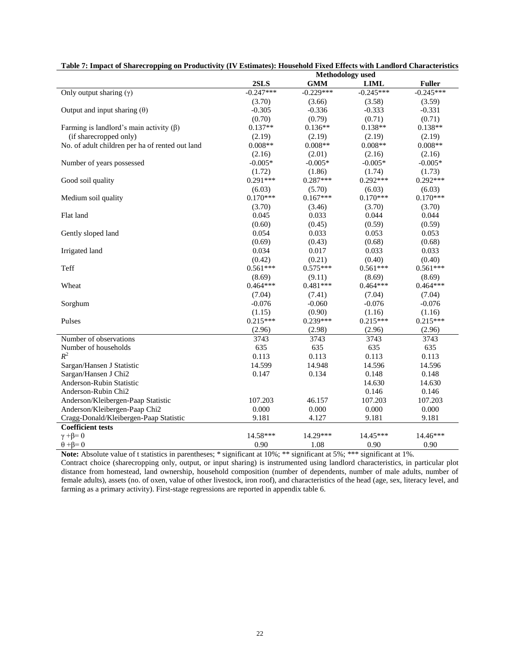|                                                 | <b>Methodology</b> used |             |             |               |  |
|-------------------------------------------------|-------------------------|-------------|-------------|---------------|--|
|                                                 | 2SLS                    | <b>GMM</b>  | <b>LIML</b> | <b>Fuller</b> |  |
| Only output sharing $(\gamma)$                  | $-0.247***$             | $-0.229***$ | $-0.245***$ | $-0.245***$   |  |
|                                                 | (3.70)                  | (3.66)      | (3.58)      | (3.59)        |  |
| Output and input sharing $(\theta)$             | $-0.305$                | $-0.336$    | $-0.333$    | $-0.331$      |  |
|                                                 | (0.70)                  | (0.79)      | (0.71)      | (0.71)        |  |
| Farming is landlord's main activity $(\beta)$   | $0.137**$               | $0.136**$   | $0.138**$   | $0.138**$     |  |
| (if sharecropped only)                          | (2.19)                  | (2.19)      | (2.19)      | (2.19)        |  |
| No. of adult children per ha of rented out land | $0.008**$               | $0.008**$   | $0.008**$   | $0.008**$     |  |
|                                                 | (2.16)                  | (2.01)      | (2.16)      | (2.16)        |  |
| Number of years possessed                       | $-0.005*$               | $-0.005*$   | $-0.005*$   | $-0.005*$     |  |
|                                                 | (1.72)                  | (1.86)      | (1.74)      | (1.73)        |  |
| Good soil quality                               | $0.291***$              | $0.287***$  | $0.292***$  | $0.292***$    |  |
|                                                 | (6.03)                  | (5.70)      | (6.03)      | (6.03)        |  |
| Medium soil quality                             | $0.170***$              | $0.167***$  | $0.170***$  | $0.170***$    |  |
|                                                 | (3.70)                  | (3.46)      | (3.70)      | (3.70)        |  |
| Flat land                                       | 0.045                   | 0.033       | 0.044       | 0.044         |  |
|                                                 | (0.60)                  | (0.45)      | (0.59)      | (0.59)        |  |
| Gently sloped land                              | 0.054                   | 0.033       | 0.053       | 0.053         |  |
|                                                 | (0.69)                  | (0.43)      | (0.68)      | (0.68)        |  |
| Irrigated land                                  | 0.034                   | 0.017       | 0.033       | 0.033         |  |
|                                                 | (0.42)                  | (0.21)      | (0.40)      | (0.40)        |  |
| Teff                                            | $0.561***$              | $0.575***$  | $0.561***$  | $0.561***$    |  |
|                                                 | (8.69)                  | (9.11)      | (8.69)      | (8.69)        |  |
| Wheat                                           | $0.464***$              | $0.481***$  | $0.464***$  | $0.464***$    |  |
|                                                 | (7.04)                  | (7.41)      | (7.04)      | (7.04)        |  |
| Sorghum                                         | $-0.076$                | $-0.060$    | $-0.076$    | $-0.076$      |  |
|                                                 | (1.15)                  | (0.90)      | (1.16)      | (1.16)        |  |
| Pulses                                          | $0.215***$              | $0.239***$  | $0.215***$  | $0.215***$    |  |
|                                                 | (2.96)                  | (2.98)      | (2.96)      | (2.96)        |  |
| Number of observations                          | 3743                    | 3743        | 3743        | 3743          |  |
| Number of households                            | 635                     | 635         | 635         | 635           |  |
| $R^2$                                           | 0.113                   | 0.113       | 0.113       | 0.113         |  |
| Sargan/Hansen J Statistic                       | 14.599                  | 14.948      | 14.596      | 14.596        |  |
| Sargan/Hansen J Chi2                            | 0.147                   | 0.134       | 0.148       | 0.148         |  |
| Anderson-Rubin Statistic                        |                         |             | 14.630      | 14.630        |  |
| Anderson-Rubin Chi2                             |                         |             | 0.146       | 0.146         |  |
| Anderson/Kleibergen-Paap Statistic              | 107.203                 | 46.157      | 107.203     | 107.203       |  |
| Anderson/Kleibergen-Paap Chi2                   | 0.000                   | 0.000       | 0.000       | 0.000         |  |
| Cragg-Donald/Kleibergen-Paap Statistic          | 9.181                   | 4.127       | 9.181       | 9.181         |  |
| <b>Coefficient tests</b>                        |                         |             |             |               |  |
| $\gamma + \beta = 0$                            | 14.58***                | 14.29***    | 14.45***    | 14.46***      |  |
| $\theta + \beta = 0$                            | 0.90                    | 1.08        | 0.90        | 0.90          |  |

**Note:** Absolute value of t statistics in parentheses; \* significant at 10%; \*\* significant at 5%; \*\*\* significant at 1%. Contract choice (sharecropping only, output, or input sharing) is instrumented using landlord characteristics, in particular plot distance from homestead, land ownership, household composition (number of dependents, number of male adults, number of

female adults), assets (no. of oxen, value of other livestock, iron roof), and characteristics of the head (age, sex, literacy level, and farming as a primary activity). First-stage regressions are reported in appendix table 6.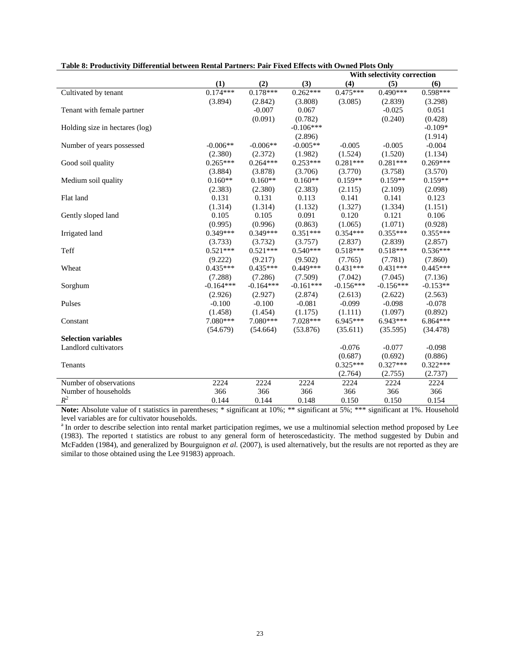|                                |             |             |             |             | With selectivity correction |            |
|--------------------------------|-------------|-------------|-------------|-------------|-----------------------------|------------|
|                                | (1)         | (2)         | (3)         | (4)         | (5)                         | (6)        |
| Cultivated by tenant           | $0.174***$  | $0.178***$  | $0.262***$  | $0.475***$  | $0.490***$                  | $0.598***$ |
|                                | (3.894)     | (2.842)     | (3.808)     | (3.085)     | (2.839)                     | (3.298)    |
| Tenant with female partner     |             | $-0.007$    | 0.067       |             | $-0.025$                    | 0.051      |
|                                |             | (0.091)     | (0.782)     |             | (0.240)                     | (0.428)    |
| Holding size in hectares (log) |             |             | $-0.106***$ |             |                             | $-0.109*$  |
|                                |             |             | (2.896)     |             |                             | (1.914)    |
| Number of years possessed      | $-0.006**$  | $-0.006**$  | $-0.005**$  | $-0.005$    | $-0.005$                    | $-0.004$   |
|                                | (2.380)     | (2.372)     | (1.982)     | (1.524)     | (1.520)                     | (1.134)    |
| Good soil quality              | $0.265***$  | $0.264***$  | $0.253***$  | $0.281***$  | $0.281***$                  | $0.269***$ |
|                                | (3.884)     | (3.878)     | (3.706)     | (3.770)     | (3.758)                     | (3.570)    |
| Medium soil quality            | $0.160**$   | $0.160**$   | $0.160**$   | $0.159**$   | $0.159**$                   | $0.159**$  |
|                                | (2.383)     | (2.380)     | (2.383)     | (2.115)     | (2.109)                     | (2.098)    |
| Flat land                      | 0.131       | 0.131       | 0.113       | 0.141       | 0.141                       | 0.123      |
|                                | (1.314)     | (1.314)     | (1.132)     | (1.327)     | (1.334)                     | (1.151)    |
| Gently sloped land             | 0.105       | 0.105       | 0.091       | 0.120       | 0.121                       | 0.106      |
|                                | (0.995)     | (0.996)     | (0.863)     | (1.065)     | (1.071)                     | (0.928)    |
| Irrigated land                 | $0.349***$  | $0.349***$  | $0.351***$  | $0.354***$  | $0.355***$                  | $0.355***$ |
|                                | (3.733)     | (3.732)     | (3.757)     | (2.837)     | (2.839)                     | (2.857)    |
| Teff                           | $0.521***$  | $0.521***$  | $0.540***$  | $0.518***$  | $0.518***$                  | $0.536***$ |
|                                | (9.222)     | (9.217)     | (9.502)     | (7.765)     | (7.781)                     | (7.860)    |
| Wheat                          | $0.435***$  | $0.435***$  | $0.449***$  | $0.431***$  | $0.431***$                  | $0.445***$ |
|                                | (7.288)     | (7.286)     | (7.509)     | (7.042)     | (7.045)                     | (7.136)    |
| Sorghum                        | $-0.164***$ | $-0.164***$ | $-0.161***$ | $-0.156***$ | $-0.156***$                 | $-0.153**$ |
|                                | (2.926)     | (2.927)     | (2.874)     | (2.613)     | (2.622)                     | (2.563)    |
| Pulses                         | $-0.100$    | $-0.100$    | $-0.081$    | $-0.099$    | $-0.098$                    | $-0.078$   |
|                                | (1.458)     | (1.454)     | (1.175)     | (1.111)     | (1.097)                     | (0.892)    |
| Constant                       | 7.080***    | 7.080***    | 7.028***    | $6.945***$  | $6.943***$                  | $6.864***$ |
|                                | (54.679)    | (54.664)    | (53.876)    | (35.611)    | (35.595)                    | (34.478)   |
| <b>Selection variables</b>     |             |             |             |             |                             |            |
| Landlord cultivators           |             |             |             | $-0.076$    | $-0.077$                    | $-0.098$   |
|                                |             |             |             | (0.687)     | (0.692)                     | (0.886)    |
| Tenants                        |             |             |             | $0.325***$  | $0.327***$                  | $0.322***$ |
|                                |             |             |             | (2.764)     | (2.755)                     | (2.737)    |
| Number of observations         | 2224        | 2224        | 2224        | 2224        | 2224                        | 2224       |
| Number of households           | 366         | 366         | 366         | 366         | 366                         | 366        |
| $R^2$                          | 0.144       | 0.144       | 0.148       | 0.150       | 0.150                       | 0.154      |

**Table 8: Productivity Differential between Rental Partners: Pair Fixed Effects with Owned Plots Only**

Note: Absolute value of t statistics in parentheses; \* significant at 10%; \*\* significant at 5%; \*\*\* significant at 1%. Household level variables are for cultivator households.

<sup>a</sup> In order to describe selection into rental market participation regimes, we use a multinomial selection method proposed by Lee (1983). The reported t statistics are robust to any general form of heteroscedasticity. The method suggested by Dubin and McFadden (1984), and generalized by Bourguignon *et al.* (2007), is used alternatively, but the results are not reported as they are similar to those obtained using the Lee 91983) approach.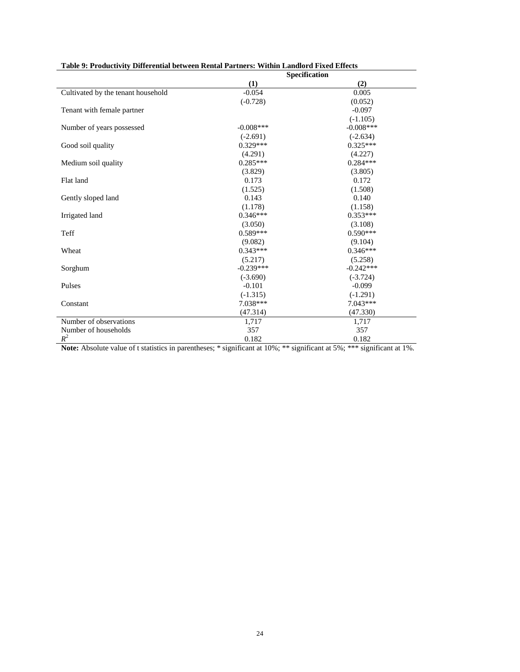| (1)<br>(2)<br>Cultivated by the tenant household<br>$-0.054$<br>0.005<br>$(-0.728)$<br>(0.052)<br>$-0.097$<br>Tenant with female partner<br>$(-1.105)$<br>$-0.008***$<br>$-0.008***$<br>Number of years possessed<br>$(-2.691)$<br>$(-2.634)$<br>$0.329***$<br>$0.325***$<br>Good soil quality<br>(4.291)<br>(4.227)<br>$0.285***$<br>$0.284***$<br>Medium soil quality<br>(3.829)<br>(3.805)<br>0.173<br>0.172<br>Flat land<br>(1.525)<br>(1.508)<br>0.143<br>0.140<br>Gently sloped land<br>(1.178)<br>(1.158)<br>$0.346***$<br>$0.353***$<br>Irrigated land |
|----------------------------------------------------------------------------------------------------------------------------------------------------------------------------------------------------------------------------------------------------------------------------------------------------------------------------------------------------------------------------------------------------------------------------------------------------------------------------------------------------------------------------------------------------------------|
|                                                                                                                                                                                                                                                                                                                                                                                                                                                                                                                                                                |
|                                                                                                                                                                                                                                                                                                                                                                                                                                                                                                                                                                |
|                                                                                                                                                                                                                                                                                                                                                                                                                                                                                                                                                                |
|                                                                                                                                                                                                                                                                                                                                                                                                                                                                                                                                                                |
|                                                                                                                                                                                                                                                                                                                                                                                                                                                                                                                                                                |
|                                                                                                                                                                                                                                                                                                                                                                                                                                                                                                                                                                |
|                                                                                                                                                                                                                                                                                                                                                                                                                                                                                                                                                                |
|                                                                                                                                                                                                                                                                                                                                                                                                                                                                                                                                                                |
|                                                                                                                                                                                                                                                                                                                                                                                                                                                                                                                                                                |
|                                                                                                                                                                                                                                                                                                                                                                                                                                                                                                                                                                |
|                                                                                                                                                                                                                                                                                                                                                                                                                                                                                                                                                                |
|                                                                                                                                                                                                                                                                                                                                                                                                                                                                                                                                                                |
|                                                                                                                                                                                                                                                                                                                                                                                                                                                                                                                                                                |
|                                                                                                                                                                                                                                                                                                                                                                                                                                                                                                                                                                |
|                                                                                                                                                                                                                                                                                                                                                                                                                                                                                                                                                                |
|                                                                                                                                                                                                                                                                                                                                                                                                                                                                                                                                                                |
| (3.050)<br>(3.108)                                                                                                                                                                                                                                                                                                                                                                                                                                                                                                                                             |
| $0.589***$<br>$0.590***$<br>Teff                                                                                                                                                                                                                                                                                                                                                                                                                                                                                                                               |
| (9.082)<br>(9.104)                                                                                                                                                                                                                                                                                                                                                                                                                                                                                                                                             |
| $0.343***$<br>$0.346***$<br>Wheat                                                                                                                                                                                                                                                                                                                                                                                                                                                                                                                              |
| (5.217)<br>(5.258)                                                                                                                                                                                                                                                                                                                                                                                                                                                                                                                                             |
| $-0.239***$<br>$-0.242***$<br>Sorghum                                                                                                                                                                                                                                                                                                                                                                                                                                                                                                                          |
| $(-3.690)$<br>$(-3.724)$                                                                                                                                                                                                                                                                                                                                                                                                                                                                                                                                       |
| Pulses<br>$-0.101$<br>$-0.099$                                                                                                                                                                                                                                                                                                                                                                                                                                                                                                                                 |
| $(-1.315)$<br>$(-1.291)$                                                                                                                                                                                                                                                                                                                                                                                                                                                                                                                                       |
| 7.038***<br>7.043***<br>Constant                                                                                                                                                                                                                                                                                                                                                                                                                                                                                                                               |
| (47.314)<br>(47.330)                                                                                                                                                                                                                                                                                                                                                                                                                                                                                                                                           |
| Number of observations<br>1,717<br>1,717                                                                                                                                                                                                                                                                                                                                                                                                                                                                                                                       |
| Number of households<br>357<br>357                                                                                                                                                                                                                                                                                                                                                                                                                                                                                                                             |
| $R^2$<br>0.182<br>0.182<br>$100 + 100 = 100$<br>$M_{\text{other}}$ Absolute colors of the training in<br>* .:.                                                                                                                                                                                                                                                                                                                                                                                                                                                 |

|  | Table 9: Productivity Differential between Rental Partners: Within Landlord Fixed Effects |  |
|--|-------------------------------------------------------------------------------------------|--|
|  | Coordination                                                                              |  |

**Note:** Absolute value of t statistics in parentheses; \* significant at 10%; \*\* significant at 5%; \*\*\* significant at 1%.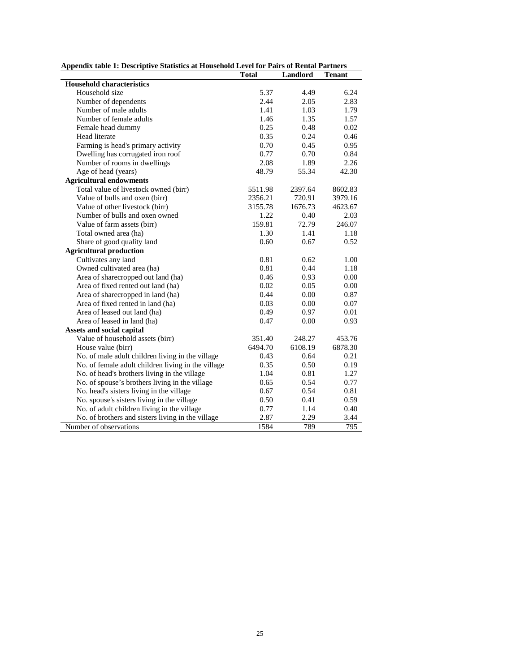| Appendix table 1: Descriptive Statistics at Household Level for Pairs of Kental Partners |              |          |               |
|------------------------------------------------------------------------------------------|--------------|----------|---------------|
|                                                                                          | <b>Total</b> | Landlord | <b>Tenant</b> |
| <b>Household characteristics</b>                                                         |              |          |               |
| Household size                                                                           | 5.37         | 4.49     | 6.24          |
| Number of dependents                                                                     | 2.44         | 2.05     | 2.83          |
| Number of male adults                                                                    | 1.41         | 1.03     | 1.79          |
| Number of female adults                                                                  | 1.46         | 1.35     | 1.57          |
| Female head dummy                                                                        | 0.25         | 0.48     | 0.02          |
| Head literate                                                                            | 0.35         | 0.24     | 0.46          |
| Farming is head's primary activity                                                       | 0.70         | 0.45     | 0.95          |
| Dwelling has corrugated iron roof                                                        | 0.77         | 0.70     | 0.84          |
| Number of rooms in dwellings                                                             | 2.08         | 1.89     | 2.26          |
| Age of head (years)                                                                      | 48.79        | 55.34    | 42.30         |
| <b>Agricultural endowments</b>                                                           |              |          |               |
| Total value of livestock owned (birr)                                                    | 5511.98      | 2397.64  | 8602.83       |
| Value of bulls and oxen (birr)                                                           | 2356.21      | 720.91   | 3979.16       |
| Value of other livestock (birr)                                                          | 3155.78      | 1676.73  | 4623.67       |
| Number of bulls and oxen owned                                                           | 1.22         | 0.40     | 2.03          |
| Value of farm assets (birr)                                                              | 159.81       | 72.79    | 246.07        |
| Total owned area (ha)                                                                    | 1.30         | 1.41     | 1.18          |
| Share of good quality land                                                               | 0.60         | 0.67     | 0.52          |
| <b>Agricultural production</b>                                                           |              |          |               |
| Cultivates any land                                                                      | 0.81         | 0.62     | 1.00          |
| Owned cultivated area (ha)                                                               | 0.81         | 0.44     | 1.18          |
| Area of sharecropped out land (ha)                                                       | 0.46         | 0.93     | 0.00          |
| Area of fixed rented out land (ha)                                                       | 0.02         | 0.05     | 0.00          |
| Area of sharecropped in land (ha)                                                        | 0.44         | 0.00     | 0.87          |
| Area of fixed rented in land (ha)                                                        | 0.03         | 0.00     | 0.07          |
| Area of leased out land (ha)                                                             | 0.49         | 0.97     | 0.01          |
| Area of leased in land (ha)                                                              | 0.47         | 0.00     | 0.93          |
| Assets and social capital                                                                |              |          |               |
| Value of household assets (birr)                                                         | 351.40       | 248.27   | 453.76        |
| House value (birr)                                                                       | 6494.70      | 6108.19  | 6878.30       |
| No. of male adult children living in the village                                         | 0.43         | 0.64     | 0.21          |
| No. of female adult children living in the village                                       | 0.35         | 0.50     | 0.19          |
| No. of head's brothers living in the village                                             | 1.04         | 0.81     | 1.27          |
| No. of spouse's brothers living in the village                                           | 0.65         | 0.54     | 0.77          |
| No. head's sisters living in the village                                                 | 0.67         | 0.54     | 0.81          |
| No. spouse's sisters living in the village                                               | 0.50         | 0.41     | 0.59          |
| No. of adult children living in the village                                              | 0.77         | 1.14     | 0.40          |
| No. of brothers and sisters living in the village                                        | 2.87         | 2.29     | 3.44          |
| Number of observations                                                                   | 1584         | 789      | 795           |

| Appendix table 1: Descriptive Statistics at Household Level for Pairs of Rental Partners |  |  |  |
|------------------------------------------------------------------------------------------|--|--|--|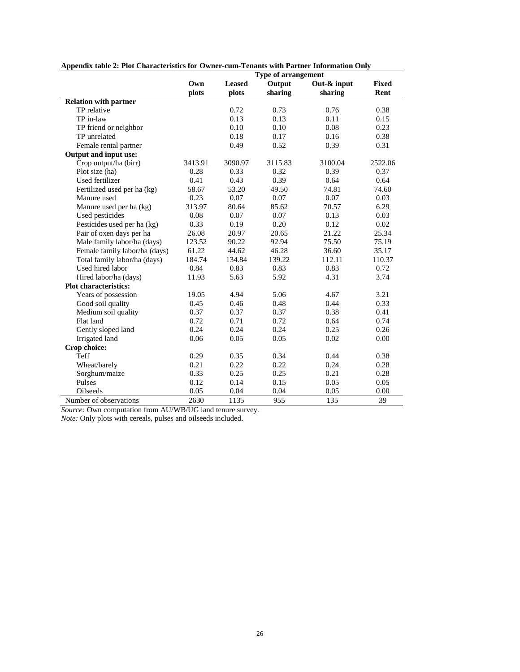|                               |         |               | <b>Type of arrangement</b> |             |              |
|-------------------------------|---------|---------------|----------------------------|-------------|--------------|
|                               | Own     | <b>Leased</b> | Output                     | Out-& input | <b>Fixed</b> |
|                               | plots   | plots         | sharing                    | sharing     | Rent         |
| <b>Relation with partner</b>  |         |               |                            |             |              |
| TP relative                   |         | 0.72          | 0.73                       | 0.76        | 0.38         |
| TP in-law                     |         | 0.13          | 0.13                       | 0.11        | 0.15         |
| TP friend or neighbor         |         | 0.10          | 0.10                       | 0.08        | 0.23         |
| TP unrelated                  |         | 0.18          | 0.17                       | 0.16        | 0.38         |
| Female rental partner         |         | 0.49          | 0.52                       | 0.39        | 0.31         |
| Output and input use:         |         |               |                            |             |              |
| Crop output/ha (birr)         | 3413.91 | 3090.97       | 3115.83                    | 3100.04     | 2522.06      |
| Plot size (ha)                | 0.28    | 0.33          | 0.32                       | 0.39        | 0.37         |
| Used fertilizer               | 0.41    | 0.43          | 0.39                       | 0.64        | 0.64         |
| Fertilized used per ha (kg)   | 58.67   | 53.20         | 49.50                      | 74.81       | 74.60        |
| Manure used                   | 0.23    | 0.07          | 0.07                       | 0.07        | 0.03         |
| Manure used per ha (kg)       | 313.97  | 80.64         | 85.62                      | 70.57       | 6.29         |
| Used pesticides               | 0.08    | 0.07          | 0.07                       | 0.13        | 0.03         |
| Pesticides used per ha (kg)   | 0.33    | 0.19          | 0.20                       | 0.12        | 0.02         |
| Pair of oxen days per ha      | 26.08   | 20.97         | 20.65                      | 21.22       | 25.34        |
| Male family labor/ha (days)   | 123.52  | 90.22         | 92.94                      | 75.50       | 75.19        |
| Female family labor/ha (days) | 61.22   | 44.62         | 46.28                      | 36.60       | 35.17        |
| Total family labor/ha (days)  | 184.74  | 134.84        | 139.22                     | 112.11      | 110.37       |
| Used hired labor              | 0.84    | 0.83          | 0.83                       | 0.83        | 0.72         |
| Hired labor/ha (days)         | 11.93   | 5.63          | 5.92                       | 4.31        | 3.74         |
| <b>Plot characteristics:</b>  |         |               |                            |             |              |
| Years of possession           | 19.05   | 4.94          | 5.06                       | 4.67        | 3.21         |
| Good soil quality             | 0.45    | 0.46          | 0.48                       | 0.44        | 0.33         |
| Medium soil quality           | 0.37    | 0.37          | 0.37                       | 0.38        | 0.41         |
| Flat land                     | 0.72    | 0.71          | 0.72                       | 0.64        | 0.74         |
| Gently sloped land            | 0.24    | 0.24          | 0.24                       | 0.25        | 0.26         |
| Irrigated land                | 0.06    | 0.05          | 0.05                       | 0.02        | 0.00         |
| Crop choice:                  |         |               |                            |             |              |
| Teff                          | 0.29    | 0.35          | 0.34                       | 0.44        | 0.38         |
| Wheat/barely                  | 0.21    | 0.22          | 0.22                       | 0.24        | 0.28         |
| Sorghum/maize                 | 0.33    | 0.25          | 0.25                       | 0.21        | 0.28         |
| Pulses                        | 0.12    | 0.14          | 0.15                       | 0.05        | 0.05         |
| Oilseeds                      | 0.05    | 0.04          | 0.04                       | 0.05        | 0.00         |
| Number of observations        | 2630    | 1135          | 955                        | 135         | 39           |

#### **Appendix table 2: Plot Characteristics for Owner-cum-Tenants with Partner Information Only**

*Source:* Own computation from AU/WB/UG land tenure survey.

*Note:* Only plots with cereals, pulses and oilseeds included.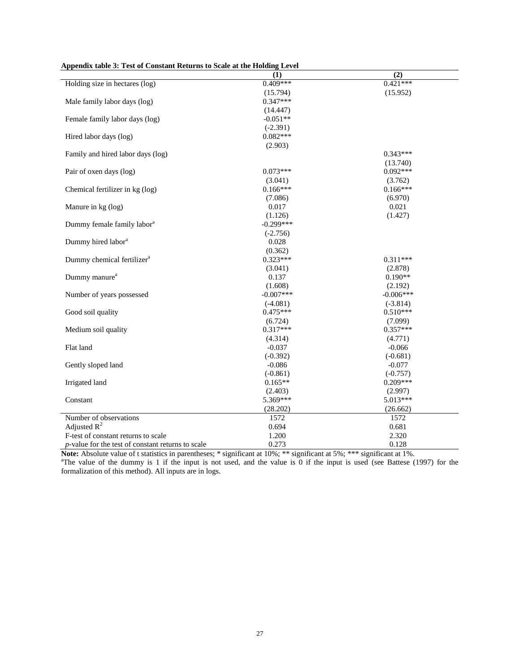|                                                           | (1)                 | (2)                 |
|-----------------------------------------------------------|---------------------|---------------------|
| Holding size in hectares (log)                            | $0.409***$          | $0.421***$          |
|                                                           | (15.794)            | (15.952)            |
| Male family labor days (log)                              | $0.347***$          |                     |
|                                                           | (14.447)            |                     |
| Female family labor days (log)                            | $-0.051**$          |                     |
|                                                           | $(-2.391)$          |                     |
| Hired labor days (log)                                    | $0.082***$          |                     |
|                                                           | (2.903)             |                     |
| Family and hired labor days (log)                         |                     | $0.343***$          |
|                                                           |                     | (13.740)            |
| Pair of oxen days (log)                                   | $0.073***$          | $0.092***$          |
|                                                           | (3.041)             | (3.762)             |
| Chemical fertilizer in kg (log)                           | $0.166***$          | $0.166***$          |
|                                                           | (7.086)             | (6.970)             |
| Manure in kg (log)                                        | 0.017               | 0.021               |
|                                                           | (1.126)             | (1.427)             |
| Dummy female family labor <sup>a</sup>                    | $-0.299***$         |                     |
|                                                           | $(-2.756)$          |                     |
| Dummy hired labor <sup>a</sup>                            | 0.028               |                     |
|                                                           | (0.362)             |                     |
| Dummy chemical fertilizer <sup>a</sup>                    | $0.323***$          | $0.311***$          |
|                                                           | (3.041)             | (2.878)             |
| Dummy manure <sup>a</sup>                                 | 0.137               | $0.190**$           |
|                                                           | (1.608)             | (2.192)             |
| Number of years possessed                                 | $-0.007***$         | $-0.006***$         |
|                                                           | $(-4.081)$          | $(-3.814)$          |
| Good soil quality                                         | $0.475***$          | $0.510***$          |
|                                                           | (6.724)             | (7.099)             |
| Medium soil quality                                       | $0.317***$          | $0.357***$          |
|                                                           | (4.314)             | (4.771)             |
| Flat land                                                 | $-0.037$            | $-0.066$            |
|                                                           | $(-0.392)$          | $(-0.681)$          |
| Gently sloped land                                        | $-0.086$            | $-0.077$            |
|                                                           | $(-0.861)$          | $(-0.757)$          |
| Irrigated land                                            | $0.165**$           | $0.209***$          |
|                                                           |                     |                     |
| Constant                                                  | (2.403)<br>5.369*** | (2.997)<br>5.013*** |
|                                                           |                     |                     |
|                                                           | (28.202)            | (26.662)            |
| Number of observations                                    | 1572                | 1572                |
| Adjusted $R^2$                                            | 0.694               | 0.681               |
| F-test of constant returns to scale                       | 1.200               | 2.320               |
| <i>p</i> -value for the test of constant returns to scale | 0.273               | 0.128               |

**Appendix table 3: Test of Constant Returns to Scale at the Holding Level**

**Note:** Absolute value of t statistics in parentheses; \* significant at 10%; \*\* significant at 5%; \*\*\* significant at 1%.

<sup>a</sup>The value of the dummy is 1 if the input is not used, and the value is 0 if the input is used (see Battese (1997) for the formalization of this method). All inputs are in logs.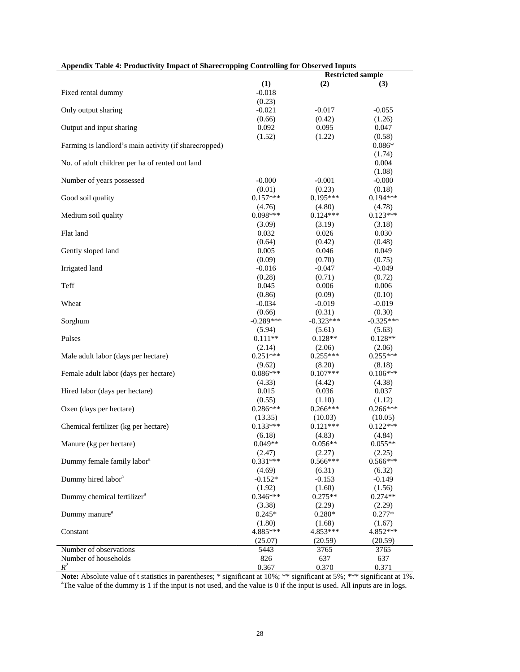| лрената таже ча годисимну нирает огонатесторунд сонтгонид того ожегчей прик |             |                                 |             |
|-----------------------------------------------------------------------------|-------------|---------------------------------|-------------|
|                                                                             | (1)         | <b>Restricted sample</b><br>(2) | (3)         |
| Fixed rental dummy                                                          | $-0.018$    |                                 |             |
|                                                                             | (0.23)      |                                 |             |
|                                                                             | $-0.021$    |                                 |             |
| Only output sharing                                                         |             | $-0.017$                        | $-0.055$    |
|                                                                             | (0.66)      | (0.42)                          | (1.26)      |
| Output and input sharing                                                    | 0.092       | 0.095                           | 0.047       |
|                                                                             | (1.52)      | (1.22)                          | (0.58)      |
| Farming is landlord's main activity (if sharecropped)                       |             |                                 | $0.086*$    |
|                                                                             |             |                                 | (1.74)      |
| No. of adult children per ha of rented out land                             |             |                                 | 0.004       |
|                                                                             |             |                                 | (1.08)      |
| Number of years possessed                                                   | $-0.000$    | $-0.001$                        | $-0.000$    |
|                                                                             | (0.01)      | (0.23)                          | (0.18)      |
| Good soil quality                                                           | $0.157***$  | $0.195***$                      | $0.194***$  |
|                                                                             | (4.76)      | (4.80)                          | (4.78)      |
| Medium soil quality                                                         | $0.098***$  | $0.124***$                      | $0.123***$  |
|                                                                             | (3.09)      | (3.19)                          | (3.18)      |
| Flat land                                                                   | 0.032       | 0.026                           | 0.030       |
|                                                                             | (0.64)      | (0.42)                          | (0.48)      |
| Gently sloped land                                                          | 0.005       | 0.046                           | 0.049       |
|                                                                             | (0.09)      | (0.70)                          | (0.75)      |
| Irrigated land                                                              | $-0.016$    | $-0.047$                        | $-0.049$    |
|                                                                             | (0.28)      | (0.71)                          | (0.72)      |
| Teff                                                                        | 0.045       | 0.006                           | 0.006       |
|                                                                             | (0.86)      | (0.09)                          | (0.10)      |
| Wheat                                                                       | $-0.034$    | $-0.019$                        | $-0.019$    |
|                                                                             | (0.66)      | (0.31)                          | (0.30)      |
|                                                                             | $-0.289***$ | $-0.323***$                     | $-0.325***$ |
| Sorghum                                                                     |             |                                 |             |
|                                                                             | (5.94)      | (5.61)<br>$0.128**$             | (5.63)      |
| Pulses                                                                      | $0.111**$   |                                 | $0.128**$   |
|                                                                             | (2.14)      | (2.06)                          | (2.06)      |
| Male adult labor (days per hectare)                                         | $0.251***$  | $0.255***$                      | $0.255***$  |
|                                                                             | (9.62)      | (8.20)                          | (8.18)      |
| Female adult labor (days per hectare)                                       | $0.086***$  | $0.107***$                      | $0.106***$  |
|                                                                             | (4.33)      | (4.42)                          | (4.38)      |
| Hired labor (days per hectare)                                              | 0.015       | 0.036                           | 0.037       |
|                                                                             | (0.55)      | (1.10)                          | (1.12)      |
| Oxen (days per hectare)                                                     | $0.286***$  | $0.266***$                      | $0.266***$  |
|                                                                             | (13.35)     | (10.03)                         | (10.05)     |
| Chemical fertilizer (kg per hectare)                                        | $0.133***$  | $0.121***$                      | $0.122***$  |
|                                                                             | (6.18)      | (4.83)                          | (4.84)      |
| Manure (kg per hectare)                                                     | $0.049**$   | $0.056**$                       | $0.055**$   |
|                                                                             | (2.47)      | (2.27)                          | (2.25)      |
| Dummy female family labor <sup>a</sup>                                      | $0.331***$  | $0.566***$                      | $0.566***$  |
|                                                                             | (4.69)      | (6.31)                          | (6.32)      |
| Dummy hired labor <sup>a</sup>                                              | $-0.152*$   | $-0.153$                        | $-0.149$    |
|                                                                             | (1.92)      | (1.60)                          | (1.56)      |
| Dummy chemical fertilizer <sup>a</sup>                                      | $0.346***$  | $0.275**$                       | $0.274**$   |
|                                                                             | (3.38)      | (2.29)                          | (2.29)      |
| Dummy manure <sup>a</sup>                                                   | $0.245*$    | $0.280*$                        | $0.277*$    |
|                                                                             | (1.80)      | (1.68)                          | (1.67)      |
| Constant                                                                    | 4.885***    | 4.853***                        | 4.852***    |
|                                                                             |             |                                 |             |
|                                                                             | (25.07)     | (20.59)                         | (20.59)     |
| Number of observations                                                      | 5443        | 3765                            | 3765        |
| Number of households                                                        | 826         | 637                             | 637         |
| $R^2$                                                                       | 0.367       | 0.370                           | 0.371       |

# **Appendix Table 4: Productivity Impact of Sharecropping Controlling for Observed Inputs**

**Note:** Absolute value of t statistics in parentheses; \* significant at 10%; \*\* significant at 5%; \*\*\* significant at 1%.  $n<sup>3</sup>$ The value of the dummy is 1 if the input is not used, and the value is 0 if the input is used. All inputs are in logs.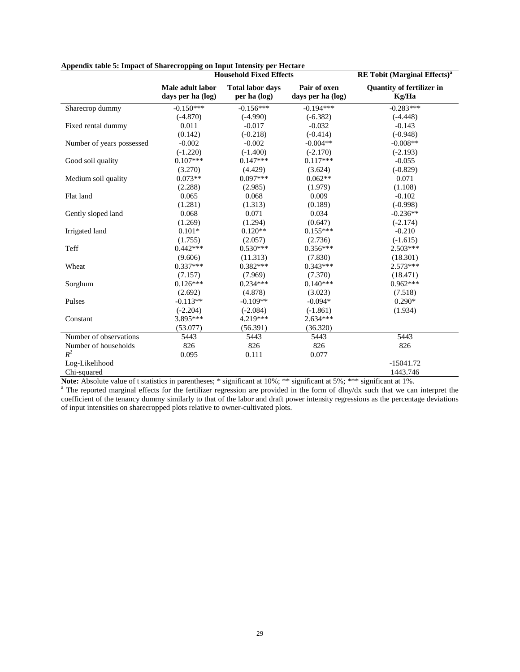|                           |                                       | <b>Household Fixed Effects</b>          | <b>RE Tobit (Marginal Effects)</b> <sup>a</sup> |                                           |
|---------------------------|---------------------------------------|-----------------------------------------|-------------------------------------------------|-------------------------------------------|
|                           | Male adult labor<br>days per ha (log) | <b>Total labor days</b><br>per ha (log) | Pair of oxen<br>days per ha (log)               | <b>Quantity of fertilizer in</b><br>Kg/Ha |
| Sharecrop dummy           | $-0.150***$                           | $-0.156***$                             | $-0.194***$                                     | $-0.283***$                               |
|                           | $(-4.870)$                            | $(-4.990)$                              | $(-6.382)$                                      | $(-4.448)$                                |
| Fixed rental dummy        | 0.011                                 | $-0.017$                                | $-0.032$                                        | $-0.143$                                  |
|                           | (0.142)                               | $(-0.218)$                              | $(-0.414)$                                      | $(-0.948)$                                |
| Number of years possessed | $-0.002$                              | $-0.002$                                | $-0.004**$                                      | $-0.008**$                                |
|                           | $(-1.220)$                            | $(-1.400)$                              | $(-2.170)$                                      | $(-2.193)$                                |
| Good soil quality         | $0.107***$                            | $0.147***$                              | $0.117***$                                      | $-0.055$                                  |
|                           | (3.270)                               | (4.429)                                 | (3.624)                                         | $(-0.829)$                                |
| Medium soil quality       | $0.073**$                             | $0.097***$                              | $0.062**$                                       | 0.071                                     |
|                           | (2.288)                               | (2.985)                                 | (1.979)                                         | (1.108)                                   |
| Flat land                 | 0.065                                 | 0.068                                   | 0.009                                           | $-0.102$                                  |
|                           | (1.281)                               | (1.313)                                 | (0.189)                                         | $(-0.998)$                                |
| Gently sloped land        | 0.068                                 | 0.071                                   | 0.034                                           | $-0.236**$                                |
|                           | (1.269)                               | (1.294)                                 | (0.647)                                         | $(-2.174)$                                |
| Irrigated land            | $0.101*$                              | $0.120**$                               | $0.155***$                                      | $-0.210$                                  |
|                           | (1.755)                               | (2.057)                                 | (2.736)                                         | $(-1.615)$                                |
| Teff                      | $0.442***$                            | $0.530***$                              | $0.356***$                                      | $2.503***$                                |
|                           | (9.606)                               | (11.313)                                | (7.830)                                         | (18.301)                                  |
| Wheat                     | $0.337***$                            | $0.382***$                              | $0.343***$                                      | $2.573***$                                |
|                           | (7.157)                               | (7.969)                                 | (7.370)                                         | (18.471)                                  |
| Sorghum                   | $0.126***$                            | $0.234***$                              | $0.140***$                                      | $0.962***$                                |
|                           | (2.692)                               | (4.878)                                 | (3.023)                                         | (7.518)                                   |
| Pulses                    | $-0.113**$                            | $-0.109**$                              | $-0.094*$                                       | $0.290*$                                  |
|                           | $(-2.204)$                            | $(-2.084)$                              | $(-1.861)$                                      | (1.934)                                   |
| Constant                  | 3.895***                              | 4.219***                                | $2.634***$                                      |                                           |
|                           | (53.077)                              | (56.391)                                | (36.320)                                        |                                           |
| Number of observations    | 5443                                  | 5443                                    | 5443                                            | 5443                                      |
| Number of households      | 826                                   | 826                                     | 826                                             | 826                                       |
| $R^2$                     | 0.095                                 | 0.111                                   | 0.077                                           |                                           |
| Log-Likelihood            |                                       |                                         |                                                 | $-15041.72$                               |
| Chi-squared               |                                       |                                         |                                                 | 1443.746                                  |

#### **Appendix table 5: Impact of Sharecropping on Input Intensity per Hectare**

**Note:** Absolute value of t statistics in parentheses; \* significant at 10%; \*\* significant at 5%; \*\*\* significant at 1%.

<sup>a</sup> The reported marginal effects for the fertilizer regression are provided in the form of dlny/dx such that we can interpret the coefficient of the tenancy dummy similarly to that of the labor and draft power intensity regressions as the percentage deviations of input intensities on sharecropped plots relative to owner-cultivated plots.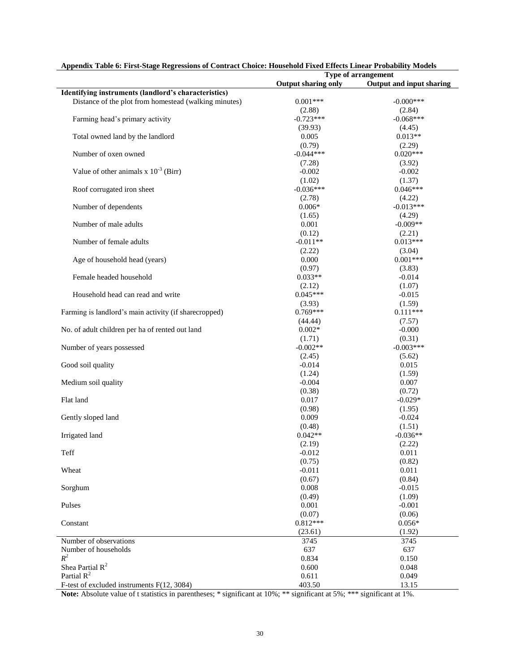|                                                       | Type of arrangement |                          |  |
|-------------------------------------------------------|---------------------|--------------------------|--|
|                                                       | Output sharing only | Output and input sharing |  |
| Identifying instruments (landlord's characteristics)  |                     |                          |  |
| Distance of the plot from homestead (walking minutes) | $0.001***$          | $-0.000***$              |  |
|                                                       | (2.88)              | (2.84)                   |  |
| Farming head's primary activity                       | $-0.723***$         | $-0.068***$              |  |
|                                                       | (39.93)             |                          |  |
|                                                       |                     | (4.45)                   |  |
| Total owned land by the landlord                      | 0.005               | $0.013**$                |  |
|                                                       | (0.79)              | (2.29)                   |  |
| Number of oxen owned                                  | $-0.044***$         | $0.020***$               |  |
|                                                       | (7.28)              | (3.92)                   |  |
| Value of other animals x $10^{-3}$ (Birr)             | $-0.002$            | $-0.002$                 |  |
|                                                       | (1.02)              | (1.37)                   |  |
| Roof corrugated iron sheet                            | $-0.036***$         | $0.046***$               |  |
|                                                       | (2.78)              | (4.22)                   |  |
| Number of dependents                                  | $0.006*$            | $-0.013***$              |  |
|                                                       | (1.65)              | (4.29)                   |  |
| Number of male adults                                 | 0.001               | $-0.009**$               |  |
|                                                       | (0.12)              | (2.21)                   |  |
| Number of female adults                               | $-0.011**$          | $0.013***$               |  |
|                                                       |                     |                          |  |
|                                                       | (2.22)              | (3.04)                   |  |
| Age of household head (years)                         | 0.000               | $0.001***$               |  |
|                                                       | (0.97)              | (3.83)                   |  |
| Female headed household                               | $0.033**$           | $-0.014$                 |  |
|                                                       | (2.12)              | (1.07)                   |  |
| Household head can read and write                     | $0.045***$          | $-0.015$                 |  |
|                                                       | (3.93)              | (1.59)                   |  |
| Farming is landlord's main activity (if sharecropped) | $0.769***$          | $0.111***$               |  |
|                                                       | (44.44)             | (7.57)                   |  |
| No. of adult children per ha of rented out land       | $0.002*$            | $-0.000$                 |  |
|                                                       | (1.71)              | (0.31)                   |  |
|                                                       | $-0.002**$          | $-0.003***$              |  |
| Number of years possessed                             |                     |                          |  |
|                                                       | (2.45)              | (5.62)                   |  |
| Good soil quality                                     | $-0.014$            | 0.015                    |  |
|                                                       | (1.24)              | (1.59)                   |  |
| Medium soil quality                                   | $-0.004$            | 0.007                    |  |
|                                                       | (0.38)              | (0.72)                   |  |
| Flat land                                             | 0.017               | $-0.029*$                |  |
|                                                       | (0.98)              | (1.95)                   |  |
| Gently sloped land                                    | 0.009               | $-0.024$                 |  |
|                                                       | (0.48)              | (1.51)                   |  |
| Irrigated land                                        | $0.042**$           | $-0.036**$               |  |
|                                                       | (2.19)              | (2.22)                   |  |
| Teff                                                  | $-0.012$            | $0.011\,$                |  |
|                                                       |                     |                          |  |
|                                                       | (0.75)              | (0.82)                   |  |
| Wheat                                                 | $-0.011$            | 0.011                    |  |
|                                                       | (0.67)              | (0.84)                   |  |
| Sorghum                                               | 0.008               | $-0.015$                 |  |
|                                                       | (0.49)              | (1.09)                   |  |
| Pulses                                                | 0.001               | $-0.001$                 |  |
|                                                       | (0.07)              | (0.06)                   |  |
| Constant                                              | $0.812***$          | $0.056*$                 |  |
|                                                       | (23.61)             | (1.92)                   |  |
| Number of observations                                | 3745                | 3745                     |  |
| Number of households                                  | 637                 | 637                      |  |
| $R^2$                                                 | 0.834               | 0.150                    |  |
| Shea Partial $R^2$                                    |                     |                          |  |
|                                                       | 0.600               | 0.048                    |  |
| Partial $R^2$                                         | 0.611               | 0.049                    |  |
| F-test of excluded instruments F(12, 3084)            | 403.50              | 13.15                    |  |

## **Appendix Table 6: First-Stage Regressions of Contract Choice: Household Fixed Effects Linear Probability Models**

**Note:** Absolute value of t statistics in parentheses; \* significant at 10%; \*\* significant at 5%; \*\*\* significant at 1%.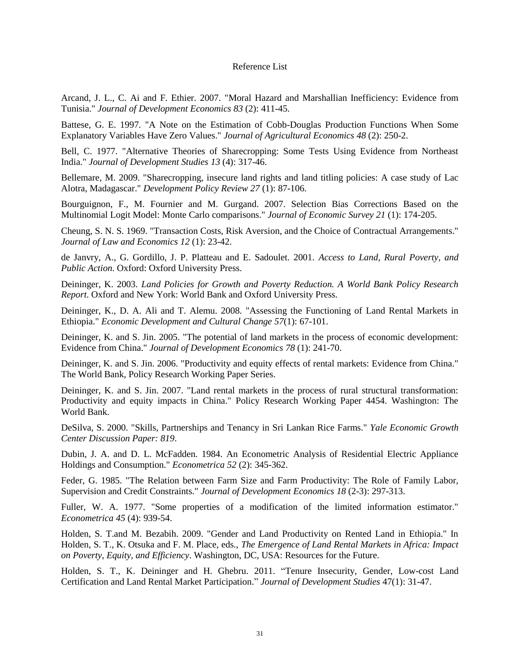#### Reference List

Arcand, J. L., C. Ai and F. Ethier. 2007. "Moral Hazard and Marshallian Inefficiency: Evidence from Tunisia." *Journal of Development Economics 83* (2): 411-45.

Battese, G. E. 1997. "A Note on the Estimation of Cobb-Douglas Production Functions When Some Explanatory Variables Have Zero Values." *Journal of Agricultural Economics 48* (2): 250-2.

Bell, C. 1977. "Alternative Theories of Sharecropping: Some Tests Using Evidence from Northeast India." *Journal of Development Studies 13* (4): 317-46.

Bellemare, M. 2009. "Sharecropping, insecure land rights and land titling policies: A case study of Lac Alotra, Madagascar." *Development Policy Review 27* (1): 87-106.

Bourguignon, F., M. Fournier and M. Gurgand. 2007. Selection Bias Corrections Based on the Multinomial Logit Model: Monte Carlo comparisons." *Journal of Economic Survey 21* (1): 174-205.

Cheung, S. N. S. 1969. "Transaction Costs, Risk Aversion, and the Choice of Contractual Arrangements." *Journal of Law and Economics 12* (1): 23-42.

de Janvry, A., G. Gordillo, J. P. Platteau and E. Sadoulet. 2001. *Access to Land, Rural Poverty, and Public Action*. Oxford: Oxford University Press.

Deininger, K. 2003. *Land Policies for Growth and Poverty Reduction. A World Bank Policy Research Report*. Oxford and New York: World Bank and Oxford University Press.

Deininger, K., D. A. Ali and T. Alemu. 2008. "Assessing the Functioning of Land Rental Markets in Ethiopia." *Economic Development and Cultural Change 57*(1): 67-101.

Deininger, K. and S. Jin. 2005. "The potential of land markets in the process of economic development: Evidence from China." *Journal of Development Economics 78* (1): 241-70.

Deininger, K. and S. Jin. 2006. "Productivity and equity effects of rental markets: Evidence from China." The World Bank, Policy Research Working Paper Series.

Deininger, K. and S. Jin. 2007. "Land rental markets in the process of rural structural transformation: Productivity and equity impacts in China." Policy Research Working Paper 4454. Washington: The World Bank.

DeSilva, S. 2000. "Skills, Partnerships and Tenancy in Sri Lankan Rice Farms." *Yale Economic Growth Center Discussion Paper: 819*.

Dubin, J. A. and D. L. McFadden. 1984. An Econometric Analysis of Residential Electric Appliance Holdings and Consumption." *Econometrica 52* (2): 345-362.

Feder, G. 1985. "The Relation between Farm Size and Farm Productivity: The Role of Family Labor, Supervision and Credit Constraints." *Journal of Development Economics 18* (2-3): 297-313.

Fuller, W. A. 1977. "Some properties of a modification of the limited information estimator." *Econometrica 45* (4): 939-54.

Holden, S. T.and M. Bezabih. 2009. "Gender and Land Productivity on Rented Land in Ethiopia." In Holden, S. T., K. Otsuka and F. M. Place, eds., *The Emergence of Land Rental Markets in Africa: Impact on Poverty, Equity, and Efficiency*. Washington, DC, USA: Resources for the Future.

Holden, S. T., K. Deininger and H. Ghebru. 2011. "Tenure Insecurity, Gender, Low-cost Land Certification and Land Rental Market Participation." *Journal of Development Studies* 47(1): 31-47.